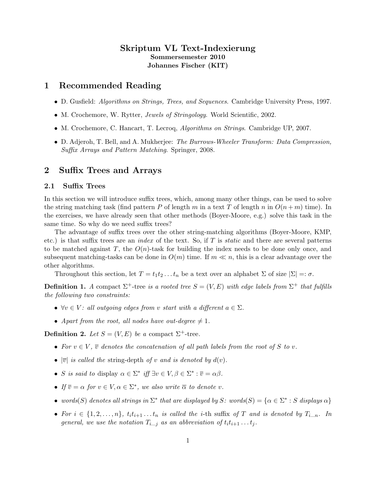# Skriptum VL Text-Indexierung Sommersemester 2010 Johannes Fischer (KIT)

# 1 Recommended Reading

- D. Gusfield: Algorithms on Strings, Trees, and Sequences. Cambridge University Press, 1997.
- M. Crochemore, W. Rytter, *Jewels of Stringology*. World Scientific, 2002.
- M. Crochemore, C. Hancart, T. Lecroq, Algorithms on Strings. Cambridge UP, 2007.
- D. Adjeroh, T. Bell, and A. Mukherjee: The Burrows-Wheeler Transform: Data Compression, Suffix Arrays and Pattern Matching. Springer, 2008.

# 2 Suffix Trees and Arrays

### 2.1 Suffix Trees

In this section we will introduce suffix trees, which, among many other things, can be used to solve the string matching task (find pattern P of length m in a text T of length n in  $O(n+m)$  time). In the exercises, we have already seen that other methods (Boyer-Moore, e.g.) solve this task in the same time. So why do we need suffix trees?

The advantage of suffix trees over the other string-matching algorithms (Boyer-Moore, KMP, etc.) is that suffix trees are an *index* of the text. So, if T is *static* and there are several patterns to be matched against T, the  $O(n)$ -task for building the index needs to be done only once, and subsequent matching-tasks can be done in  $O(m)$  time. If  $m \ll n$ , this is a clear advantage over the other algorithms.

Throughout this section, let  $T = t_1t_2 \dots t_n$  be a text over an alphabet  $\Sigma$  of size  $|\Sigma| =: \sigma$ .

**Definition 1.** A compact  $\Sigma^+$ -tree is a rooted tree  $S = (V, E)$  with edge labels from  $\Sigma^+$  that fulfills the following two constraints:

- $\forall v \in V:$  all outgoing edges from v start with a different  $a \in \Sigma$ .
- Apart from the root, all nodes have out-degree  $\neq 1$ .

**Definition 2.** Let  $S = (V, E)$  be a compact  $\Sigma^+$ -tree.

- For  $v \in V$ ,  $\overline{v}$  denotes the concatenation of all path labels from the root of S to v.
- $|\overline{v}|$  is called the string-depth of v and is denoted by  $d(v)$ .
- S is said to display  $\alpha \in \Sigma^*$  iff  $\exists v \in V, \beta \in \Sigma^* : \overline{v} = \alpha \beta$ .
- If  $\overline{v} = \alpha$  for  $v \in V, \alpha \in \Sigma^*$ , we also write  $\overline{\alpha}$  to denote v.
- words(S) denotes all strings in  $\Sigma^*$  that are displayed by S: words(S) = { $\alpha \in \Sigma^* : S$  displays  $\alpha$ }
- For  $i \in \{1, 2, ..., n\}$ ,  $t_i t_{i+1} \ldots t_n$  is called the *i*-th suffix of T and is denoted by  $T_{i...n}$ . In general, we use the notation  $T_{i...j}$  as an abbreviation of  $t_i t_{i+1} \ldots t_j$ .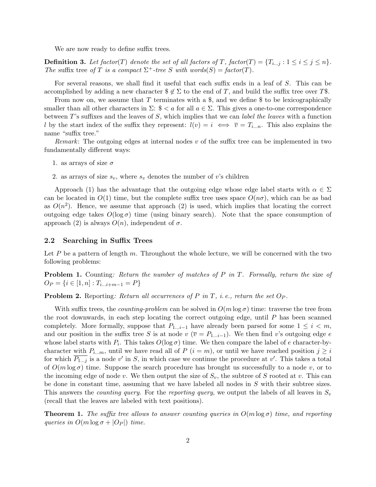We are now ready to define suffix trees.

**Definition 3.** Let factor(T) denote the set of all factors of T, factor(T) =  $\{T_{i...j} : 1 \le i \le j \le n\}$ . The suffix tree of T is a compact  $\Sigma^+$ -tree S with words(S) = factor(T).

For several reasons, we shall find it useful that each suffix ends in a leaf of S. This can be accomplished by adding a new character  $\mathcal{F} \not\in \Sigma$  to the end of T, and build the suffix tree over T\$.

From now on, we assume that T terminates with a  $\frac{1}{3}$ , and we define  $\frac{1}{3}$  to be lexicographically smaller than all other characters in  $\Sigma: \ \tfrac{1}{2} < a$  for all  $a \in \Sigma$ . This gives a one-to-one correspondence between T's suffixes and the leaves of  $S$ , which implies that we can *label the leaves* with a function l by the start index of the suffix they represent:  $l(v) = i \iff \overline{v} = T_{i...n}$ . This also explains the name "suffix tree."

*Remark*: The outgoing edges at internal nodes  $v$  of the suffix tree can be implemented in two fundamentally different ways:

- 1. as arrays of size  $\sigma$
- 2. as arrays of size  $s_v$ , where  $s_v$  denotes the number of v's children

Approach (1) has the advantage that the outgoing edge whose edge label starts with  $\alpha \in \Sigma$ can be located in  $O(1)$  time, but the complete suffix tree uses space  $O(n\sigma)$ , which can be as bad as  $O(n^2)$ . Hence, we assume that approach (2) is used, which implies that locating the correct outgoing edge takes  $O(\log \sigma)$  time (using binary search). Note that the space consumption of approach (2) is always  $O(n)$ , independent of  $\sigma$ .

### 2.2 Searching in Suffix Trees

Let  $P$  be a pattern of length  $m$ . Throughout the whole lecture, we will be concerned with the two following problems:

**Problem 1.** Counting: Return the number of matches of P in T. Formally, return the size of  $O_P = \{i \in [1, n] : T_{i...i+m-1} = P\}$ 

**Problem 2.** Reporting: Return all occurrences of P in T, i.e., return the set  $O_P$ .

With suffix trees, the *counting-problem* can be solved in  $O(m \log \sigma)$  time: traverse the tree from the root downwards, in each step locating the correct outgoing edge, until P has been scanned completely. More formally, suppose that  $P_{1...i-1}$  have already been parsed for some  $1 \leq i \leq m$ , and our position in the suffix tree S is at node v ( $\overline{v} = P_{1...i-1}$ ). We then find v's outgoing edge e whose label starts with  $P_i$ . This takes  $O(\log \sigma)$  time. We then compare the label of e character-bycharacter with  $P_{i...m}$ , until we have read all of  $P$  ( $i = m$ ), or until we have reached position  $j \geq i$ for which  $\overline{P_{1...j}}$  is a node v' in S, in which case we continue the procedure at v'. This takes a total of  $O(m \log \sigma)$  time. Suppose the search procedure has brought us successfully to a node v, or to the incoming edge of node v. We then output the size of  $S_v$ , the subtree of S rooted at v. This can be done in constant time, assuming that we have labeled all nodes in S with their subtree sizes. This answers the *counting query*. For the *reporting query*, we output the labels of all leaves in  $S_v$ (recall that the leaves are labeled with text positions).

**Theorem 1.** The suffix tree allows to answer counting queries in  $O(m \log \sigma)$  time, and reporting queries in  $O(m \log \sigma + |O_P|)$  time.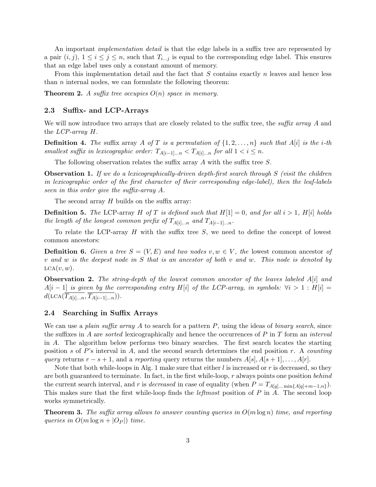An important *implementation detail* is that the edge labels in a suffix tree are represented by a pair  $(i, j)$ ,  $1 \leq i \leq j \leq n$ , such that  $T_{i...j}$  is equal to the corresponding edge label. This ensures that an edge label uses only a constant amount of memory.

From this implementation detail and the fact that  $S$  contains exactly  $n$  leaves and hence less than  $n$  internal nodes, we can formulate the following theorem:

**Theorem 2.** A suffix tree occupies  $O(n)$  space in memory.

### 2.3 Suffix- and LCP-Arrays

We will now introduce two arrays that are closely related to the suffix tree, the *suffix array* A and the LCP-array H.

**Definition 4.** The suffix array A of T is a permutation of  $\{1, 2, \ldots, n\}$  such that A[i] is the i-th smallest suffix in lexicographic order:  $T_{A[i-1]...n} < T_{A[i]...n}$  for all  $1 < i \leq n$ .

The following observation relates the suffix array  $A$  with the suffix tree  $S$ .

**Observation 1.** If we do a lexicographically-driven depth-first search through S (visit the children in lexicographic order of the first character of their corresponding edge-label), then the leaf-labels seen in this order give the suffix-array A.

The second array  $H$  builds on the suffix array:

**Definition 5.** The LCP-array H of T is defined such that  $H[1] = 0$ , and for all  $i > 1$ ,  $H[i]$  holds the length of the longest common prefix of  $T_{A[i]...n}$  and  $T_{A[i-1]...n}$ .

To relate the LCP-array  $H$  with the suffix tree  $S$ , we need to define the concept of lowest common ancestors:

**Definition 6.** Given a tree  $S = (V, E)$  and two nodes  $v, w \in V$ , the lowest common ancestor of v and w is the deepest node in S that is an ancestor of both v and w. This node is denoted by  $LCA(v, w)$ .

**Observation 2.** The string-depth of the lowest common ancestor of the leaves labeled  $A[i]$  and  $A[i - 1]$  is given by the corresponding entry H[i] of the LCP-array, in symbols:  $\forall i > 1 : H[i] =$  $d(\text{LCA}(\overline{T_{A[i]\dots n}}, \overline{T_{A[i-1]\dots n}})).$ 

#### 2.4 Searching in Suffix Arrays

We can use a *plain suffix array* A to search for a pattern  $P$ , using the ideas of *binary search*, since the suffixes in A are *sorted* lexicographically and hence the occurrences of  $P$  in  $T$  form an *interval* in A. The algorithm below performs two binary searches. The first search locates the starting position s of P's interval in A, and the second search determines the end position r. A counting query returns  $r - s + 1$ , and a reporting query returns the numbers  $A[s], A[s+1], \ldots, A[r]$ .

Note that both while-loops in Alg. 1 make sure that either  $l$  is increased or r is decreased, so they are both guaranteed to terminate. In fact, in the first while-loop,  $r$  always points one position behind the current search interval, and r is *decreased* in case of equality (when  $P = T_{A[q]...min\{A[q]+m-1,n\}}$ ). This makes sure that the first while-loop finds the *leftmost* position of  $P$  in  $\overline{A}$ . The second loop works symmetrically.

**Theorem 3.** The suffix array allows to answer counting queries in  $O(m \log n)$  time, and reporting queries in  $O(m \log n + |O_P|)$  time.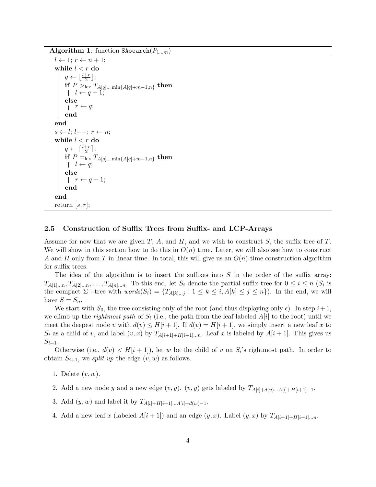Algorithm 1: function SAsearch $(P_{1...m})$ 

```
l \leftarrow 1; r \leftarrow n + 1;while l < r do
       q \leftarrow \lfloor \frac{l+r}{2} \rfloor;{\rm \bf if} \,\, P >_{\rm lex} T_{A[q]... \, \min\{A[q] + m - 1, n\}} \, \,{\rm then}l \leftarrow q + 1;else
       r \leftarrow q;end
end
s \leftarrow l; l--; r \leftarrow n;while l < r do
       q \leftarrow \lceil \frac{l+r}{2} \rceil;\textbf{if} \ P \stackrel{|\ 2}{=}_{\text{lex}} T_{A[q]... \ \text{min} \{A[q] + m - 1, n\}} \ \textbf{then}l \leftarrow q;else
       |r \leftarrow q-1;end
end
return |s, r|;
```
### 2.5 Construction of Suffix Trees from Suffix- and LCP-Arrays

Assume for now that we are given T, A, and H, and we wish to construct S, the suffix tree of T. We will show in this section how to do this in  $O(n)$  time. Later, we will also see how to construct A and H only from T in linear time. In total, this will give us an  $O(n)$ -time construction algorithm for suffix trees.

The idea of the algorithm is to insert the suffixes into  $S$  in the order of the suffix array:  $T_{A[1],...,T_{A[2],...n},...,T_{A[n],...n}$ . To this end, let  $S_i$  denote the partial suffix tree for  $0 \leq i \leq n$  ( $S_i$  is the compact  $\Sigma^+$ -tree with  $words(S_i) = \{T_{A[k]...j} : 1 \leq k \leq i, A[k] \leq j \leq n\}$ . In the end, we will have  $S = S_n$ .

We start with  $S_0$ , the tree consisting only of the root (and thus displaying only  $\epsilon$ ). In step  $i+1$ , we climb up the *rightmost path* of  $S_i$  (i.e., the path from the leaf labeled  $A[i]$  to the root) until we meet the deepest node v with  $d(v) \leq H[i+1]$ . If  $d(v) = H[i+1]$ , we simply insert a new leaf x to  $S_i$  as a child of v, and label  $(v, x)$  by  $T_{A[i+1]+H[i+1]...n}$ . Leaf x is labeled by  $A[i+1]$ . This gives us  $S_{i+1}$ .

Otherwise (i.e.,  $d(v) < H[i+1]$ ), let w be the child of v on  $S_i$ 's rightmost path. In order to obtain  $S_{i+1}$ , we split up the edge  $(v, w)$  as follows.

- 1. Delete  $(v, w)$ .
- 2. Add a new node y and a new edge  $(v, y)$ .  $(v, y)$  gets labeled by  $T_{A[i]+d(v)\dots A[i]+H[i+1]-1}$ .
- 3. Add  $(y, w)$  and label it by  $T_{A[i]+H[i+1]...A[i]+d(w)-1}$ .
- 4. Add a new leaf x (labeled  $A[i+1]$ ) and an edge  $(y, x)$ . Label  $(y, x)$  by  $T_{A[i+1]+H[i+1]...n}$ .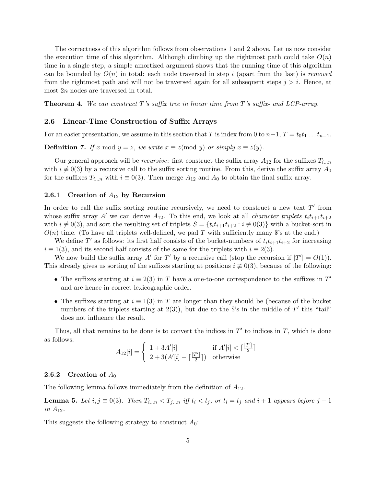The correctness of this algorithm follows from observations 1 and 2 above. Let us now consider the execution time of this algorithm. Although climbing up the rightmost path could take  $O(n)$ time in a single step, a simple amortized argument shows that the running time of this algorithm can be bounded by  $O(n)$  in total: each node traversed in step i (apart from the last) is removed from the rightmost path and will not be traversed again for all subsequent steps  $j > i$ . Hence, at most 2n nodes are traversed in total.

**Theorem 4.** We can construct T's suffix tree in linear time from T's suffix- and LCP-array.

### 2.6 Linear-Time Construction of Suffix Arrays

For an easier presentation, we assume in this section that T is index from 0 to  $n-1$ ,  $T = t_0t_1 \ldots t_{n-1}$ .

**Definition 7.** If x mod  $y = z$ , we write  $x \equiv z \pmod{y}$  or simply  $x \equiv z(y)$ .

Our general approach will be *recursive*: first construct the suffix array  $A_{12}$  for the suffixes  $T_{i...n}$ with  $i \neq 0$ (3) by a recursive call to the suffix sorting routine. From this, derive the suffix array  $A_0$ for the suffixes  $T_{i...n}$  with  $i \equiv 0(3)$ . Then merge  $A_{12}$  and  $A_0$  to obtain the final suffix array.

#### 2.6.1 Creation of  $A_{12}$  by Recursion

In order to call the suffix sorting routine recursively, we need to construct a new text  $T'$  from whose suffix array A' we can derive  $A_{12}$ . To this end, we look at all *character triplets*  $t_i t_{i+1} t_{i+2}$ with  $i \neq 0$ (3), and sort the resulting set of triplets  $S = \{t_it_{i+1}t_{i+2} : i \neq 0$ (3)} with a bucket-sort in  $O(n)$  time. (To have all triplets well-defined, we pad T with sufficiently many \$'s at the end.)

We define T' as follows: its first half consists of the bucket-numbers of  $t_i t_{i+1} t_{i+2}$  for increasing  $i \equiv 1(3)$ , and its second half consists of the same for the triplets with  $i \equiv 2(3)$ .

We now build the suffix array  $A'$  for  $T'$  by a recursive call (stop the recursion if  $|T'| = O(1)$ ). This already gives us sorting of the suffixes starting at positions  $i \neq 0(3)$ , because of the following:

- The suffixes starting at  $i \equiv 2(3)$  in T have a one-to-one correspondence to the suffixes in T' and are hence in correct lexicographic order.
- The suffixes starting at  $i \equiv 1(3)$  in T are longer than they should be (because of the bucket numbers of the triplets starting at  $2(3)$ , but due to the \$'s in the middle of  $T'$  this "tail" does not influence the result.

Thus, all that remains to be done is to convert the indices in  $T'$  to indices in  $T$ , which is done as follows:

$$
A_{12}[i] = \begin{cases} 1 + 3A'[i] & \text{if } A'[i] < \lceil \frac{|T'|}{2} \rceil \\ 2 + 3(A'[i] - \lceil \frac{|T'|}{2} \rceil) & \text{otherwise} \end{cases}
$$

### 2.6.2 Creation of  $A_0$

The following lemma follows immediately from the definition of  $A_{12}$ .

**Lemma 5.** Let  $i, j \equiv 0(3)$ . Then  $T_{i...n} < T_{j...n}$  iff  $t_i < t_j$ , or  $t_i = t_j$  and  $i+1$  appears before  $j+1$ in  $A_{12}$ .

This suggests the following strategy to construct  $A_0$ :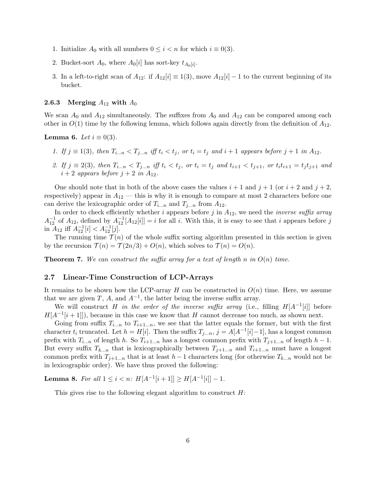- 1. Initialize  $A_0$  with all numbers  $0 \leq i < n$  for which  $i \equiv 0(3)$ .
- 2. Bucket-sort  $A_0$ , where  $A_0[i]$  has sort-key  $t_{A_0[i]}$ .
- 3. In a left-to-right scan of  $A_{12}$ : if  $A_{12}[i] \equiv 1(3)$ , move  $A_{12}[i] 1$  to the current beginning of its bucket.

### 2.6.3 Merging  $A_{12}$  with  $A_0$

We scan  $A_0$  and  $A_{12}$  simultaneously. The suffixes from  $A_0$  and  $A_{12}$  can be compared among each other in  $O(1)$  time by the following lemma, which follows again directly from the definition of  $A_{12}$ .

**Lemma 6.** Let  $i \equiv 0(3)$ .

- 1. If  $j \equiv 1(3)$ , then  $T_{i...n} < T_{j...n}$  iff  $t_i < t_j$ , or  $t_i = t_j$  and  $i+1$  appears before  $j+1$  in  $A_{12}$ .
- 2. If  $j \equiv 2(3)$ , then  $T_{i...n} < T_{j...n}$  iff  $t_i < t_j$ , or  $t_i = t_j$  and  $t_{i+1} < t_{j+1}$ , or  $t_i t_{i+1} = t_j t_{j+1}$  and  $i+2$  appears before  $j+2$  in  $A_{12}$ .

One should note that in both of the above cases the values  $i + 1$  and  $j + 1$  (or  $i + 2$  and  $j + 2$ , respectively) appear in  $A_{12}$  — this is why it is enough to compare at most 2 characters before one can derive the lexicographic order of  $T_{i...n}$  and  $T_{j...n}$  from  $A_{12}$ .

In order to check efficiently whether i appears before j in  $A_{12}$ , we need the inverse suffix array  $A_{12}^{-1}$  of  $A_{12}$ , defined by  $A_{12}^{-1}[A_{12}[i]] = i$  for all i. With this, it is easy to see that i appears before j in  $A_{12}$  iff  $A_{12}^{-1}[i] < A_{12}^{-1}[j]$ .

The running time  $\mathcal{T}(n)$  of the whole suffix sorting algorithm presented in this section is given by the recursion  $\mathcal{T}(n) = \mathcal{T}(2n/3) + O(n)$ , which solves to  $\mathcal{T}(n) = O(n)$ .

**Theorem 7.** We can construct the suffix array for a text of length n in  $O(n)$  time.

### 2.7 Linear-Time Construction of LCP-Arrays

It remains to be shown how the LCP-array H can be constructed in  $O(n)$  time. Here, we assume that we are given T, A, and  $A^{-1}$ , the latter being the inverse suffix array.

We will construct H in the order of the inverse suffix array (i.e., filling  $H[A^{-1}[i]]$  before  $H[A^{-1}[i+1]]$ , because in this case we know that H cannot decrease too much, as shown next.

Going from suffix  $T_{i...n}$  to  $T_{i+1...n}$ , we see that the latter equals the former, but with the first character  $t_i$  truncated. Let  $h = H[i]$ . Then the suffix  $T_{j...n}$ ,  $j = A[A^{-1}[i]-1]$ , has a longest common prefix with  $T_{i...n}$  of length h. So  $T_{i+1...n}$  has a longest common prefix with  $T_{j+1...n}$  of length  $h-1$ . But every suffix  $T_{k...n}$  that is lexicographically between  $T_{j+1...n}$  and  $T_{i+1...n}$  must have a longest common prefix with  $T_{j+1...n}$  that is at least  $h-1$  characters long (for otherwise  $T_{k...n}$  would not be in lexicographic order). We have thus proved the following:

Lemma 8. For all  $1 \leq i < n$ :  $H[A^{-1}[i+1]] \geq H[A^{-1}[i]] - 1$ .

This gives rise to the following elegant algorithm to construct  $H$ :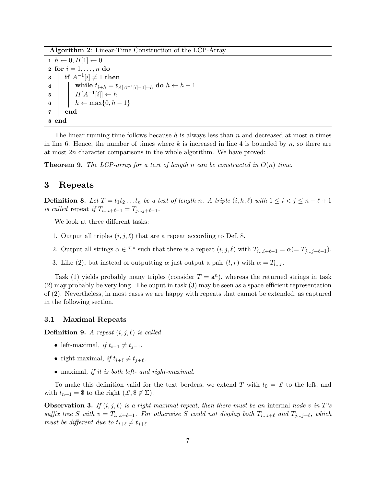Algorithm 2: Linear-Time Construction of the LCP-Array

 $1 \; h \leftarrow 0, H[1] \leftarrow 0$ 2 for  $i = 1, \ldots, n$  do  $\texttt{3} \ \ \ \ \ \ \ \ \ \text{if} \ \ A^{-1}[i] \neq 1 \ \ \text{then}$ 4 | | while  $t_{i+h} = t_{A[A^{-1}[i]-1]+h}$  do  $h \leftarrow h + 1$ 5  $\left| \right|$   $H[A^{-1}[i]] \leftarrow h$ 6 |  $h \leftarrow \max\{0, h-1\}$ 7 end 8 end

The linear running time follows because h is always less than n and decreased at most n times in line 6. Hence, the number of times where k is increased in line 4 is bounded by n, so there are at most 2n character comparisons in the whole algorithm. We have proved:

**Theorem 9.** The LCP-array for a text of length n can be constructed in  $O(n)$  time.

### 3 Repeats

**Definition 8.** Let  $T = t_1 t_2 \ldots t_n$  be a text of length n. A triple  $(i, h, \ell)$  with  $1 \leq i < j \leq n - \ell + 1$ is called repeat if  $T_{i...i+\ell-1} = T_{j...j+\ell-1}$ .

We look at three different tasks:

- 1. Output all triples  $(i, j, \ell)$  that are a repeat according to Def. 8.
- 2. Output all strings  $\alpha \in \Sigma^*$  such that there is a repeat  $(i, j, \ell)$  with  $T_{i...i+\ell-1} = \alpha (= T_{j...j+\ell-1}).$
- 3. Like (2), but instead of outputting  $\alpha$  just output a pair  $(l, r)$  with  $\alpha = T_{l...r}$ .

Task (1) yields probably many triples (consider  $T = \mathbf{a}^n$ ), whereas the returned strings in task (2) may probably be very long. The ouput in task (3) may be seen as a space-efficient representation of (2). Nevertheless, in most cases we are happy with repeats that cannot be extended, as captured in the following section.

### 3.1 Maximal Repeats

**Definition 9.** A repeat  $(i, j, \ell)$  is called

- left-maximal, if  $t_{i-1} \neq t_{i-1}$ .
- right-maximal, if  $t_{i+\ell} \neq t_{j+\ell}$ .
- maximal, if it is both left- and right-maximal.

To make this definition valid for the text borders, we extend T with  $t_0 = \mathcal{L}$  to the left, and with  $t_{n+1} =$  \$ to the right  $(\mathcal{L}, \mathcal{L}, \mathcal{L})$ .

**Observation 3.** If  $(i, j, \ell)$  is a right-maximal repeat, then there must be an internal node v in T's suffix tree S with  $\overline{v} = T_{i...i+\ell-1}$ . For otherwise S could not display both  $T_{i...i+\ell}$  and  $T_{j...j+\ell}$ , which must be different due to  $t_{i+\ell} \neq t_{j+\ell}$ .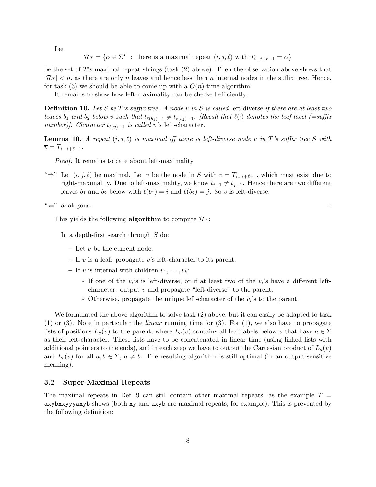Let

 $\mathcal{R}_T = \{ \alpha \in \Sigma^* \; : \; \text{there is a maximal repeat } (i, j, \ell) \text{ with } T_{i \dots i + \ell - 1} = \alpha \}$ 

be the set of T's maximal repeat strings (task  $(2)$  above). Then the observation above shows that  $|\mathcal{R}_T| < n$ , as there are only n leaves and hence less than n internal nodes in the suffix tree. Hence, for task (3) we should be able to come up with a  $O(n)$ -time algorithm.

It remains to show how left-maximality can be checked efficiently.

**Definition 10.** Let S be T's suffix tree. A node v in S is called left-diverse if there are at least two leaves  $b_1$  and  $b_2$  below v such that  $t_{\ell(b_1)-1} \neq t_{\ell(b_2)-1}$ . [Recall that  $\ell(\cdot)$  denotes the leaf label (=suffix number)]. Character  $t_{\ell(v)-1}$  is called v's left-character.

**Lemma 10.** A repeat  $(i, j, \ell)$  is maximal iff there is left-diverse node v in T's suffix tree S with  $\overline{v} = T_{i...i+\ell-1}.$ 

Proof. It remains to care about left-maximality.

" $\Rightarrow$ " Let  $(i, j, \ell)$  be maximal. Let v be the node in S with  $\overline{v} = T_{i...i+\ell-1}$ , which must exist due to right-maximality. Due to left-maximality, we know  $t_{i-1} \neq t_{i-1}$ . Hence there are two different leaves  $b_1$  and  $b_2$  below with  $\ell(b_1) = i$  and  $\ell(b_2) = j$ . So v is left-diverse.

"⇐" analogous.

This yields the following **algorithm** to compute  $\mathcal{R}_T$ :

In a depth-first search through S do:

- $-$  Let  $v$  be the current node.
- If v is a leaf: propagate v's left-character to its parent.
- If v is internal with children  $v_1, \ldots, v_k$ :
	- $*$  If one of the  $v_i$ 's is left-diverse, or if at least two of the  $v_i$ 's have a different leftcharacter: output  $\overline{v}$  and propagate "left-diverse" to the parent.
	- $*$  Otherwise, propagate the unique left-character of the  $v_i$ 's to the parent.

We formulated the above algorithm to solve task (2) above, but it can easily be adapted to task  $(1)$  or  $(3)$ . Note in particular the *linear* running time for  $(3)$ . For  $(1)$ , we also have to propagate lists of positions  $L_a(v)$  to the parent, where  $L_a(v)$  contains all leaf labels below v that have  $a \in \Sigma$ as their left-character. These lists have to be concatenated in linear time (using linked lists with additional pointers to the ends), and in each step we have to output the Cartesian product of  $L_a(v)$ and  $L_b(v)$  for all  $a, b \in \Sigma$ ,  $a \neq b$ . The resulting algorithm is still optimal (in an output-sensitive meaning).

### 3.2 Super-Maximal Repeats

The maximal repeats in Def. 9 can still contain other maximal repeats, as the example  $T =$ axybxxyyyaxyb shows (both xy and axyb are maximal repeats, for example). This is prevented by the following definition:

 $\Box$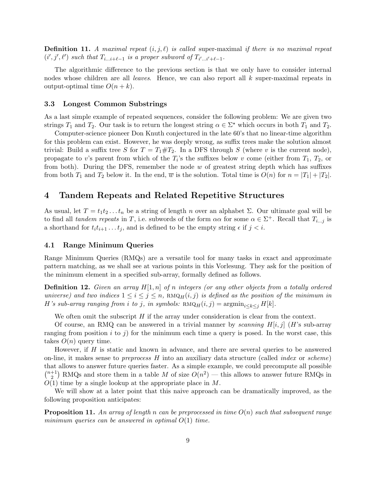**Definition 11.** A maximal repeat  $(i, j, \ell)$  is called super-maximal if there is no maximal repeat  $(i', j', \ell')$  such that  $T_{i...i+\ell-1}$  is a proper subword of  $T_{i'...i'+\ell-1}$ .

The algorithmic difference to the previous section is that we only have to consider internal nodes whose children are all leaves. Hence, we can also report all k super-maximal repeats in output-optimal time  $O(n + k)$ .

#### 3.3 Longest Common Substrings

As a last simple example of repeated sequences, consider the following problem: We are given two strings  $T_1$  and  $T_2$ . Our task is to return the longest string  $\alpha \in \Sigma^*$  which occurs in both  $T_1$  and  $T_2$ .

Computer-science pioneer Don Knuth conjectured in the late 60's that no linear-time algorithm for this problem can exist. However, he was deeply wrong, as suffix trees make the solution almost trivial: Build a suffix tree S for  $T = T_1 \# T_2$ . In a DFS through S (where v is the current node), propagate to v's parent from which of the  $T_i$ 's the suffixes below v come (either from  $T_1$ ,  $T_2$ , or from both). During the DFS, remember the node  $w$  of greatest string depth which has suffixes from both  $T_1$  and  $T_2$  below it. In the end,  $\overline{w}$  is the solution. Total time is  $O(n)$  for  $n = |T_1| + |T_2|$ .

# 4 Tandem Repeats and Related Repetitive Structures

As usual, let  $T = t_1t_2...t_n$  be a string of length n over an alphabet  $\Sigma$ . Our ultimate goal will be to find all tandem repeats in T, i.e. subwords of the form  $\alpha\alpha$  for some  $\alpha \in \Sigma^+$ . Recall that  $T_{i...j}$  is a shorthand for  $t_i t_{i+1} \ldots t_j$ , and is defined to be the empty string  $\epsilon$  if  $j < i$ .

### 4.1 Range Minimum Queries

Range Minimum Queries (RMQs) are a versatile tool for many tasks in exact and approximate pattern matching, as we shall see at various points in this Vorlesung. They ask for the position of the minimum element in a specified sub-array, formally defined as follows.

**Definition 12.** Given an array  $H[1,n]$  of n integers (or any other objects from a totally ordered universe) and two indices  $1 \leq i \leq j \leq n$ , RMQ $_H(i, j)$  is defined as the position of the minimum in H's sub-array ranging from i to j, in symbols:  $\text{RMQ}_H(i, j) = \text{argmin}_{i \leq k \leq j} H[k].$ 

We often omit the subscript  $H$  if the array under consideration is clear from the context.

Of course, an RMQ can be answered in a trivial manner by scanning  $H[i, j]$  (H's sub-array ranging from position i to j) for the minimum each time a query is posed. In the worst case, this takes  $O(n)$  query time.

However, if  $H$  is static and known in advance, and there are several queries to be answered on-line, it makes sense to preprocess  $H$  into an auxiliary data structure (called *index* or *scheme*) that allows to answer future queries faster. As a simple example, we could precompute all possible  $\binom{n+1}{2}$  $\binom{+1}{2}$  RMQs and store them in a table M of size  $O(n^2)$  — this allows to answer future RMQs in  $O(1)$  time by a single lookup at the appropriate place in M.

We will show at a later point that this naive approach can be dramatically improved, as the following proposition anticipates:

**Proposition 11.** An array of length n can be preprocessed in time  $O(n)$  such that subsequent range minimum queries can be answered in optimal  $O(1)$  time.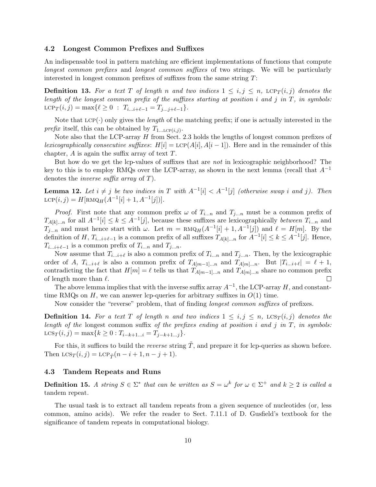### 4.2 Longest Common Prefixes and Suffixes

An indispensable tool in pattern matching are efficient implementations of functions that compute longest common prefixes and longest common suffixes of two strings. We will be particularly interested in longest common prefixes of suffixes from the same string  $T$ :

**Definition 13.** For a text T of length n and two indices  $1 \leq i, j \leq n$ ,  $LCP_T(i, j)$  denotes the length of the longest common prefix of the suffixes starting at position i and j in  $T$ , in symbols: LCP<sub>T</sub>(*i*, *j*) = max{ $\ell \ge 0$  :  $T_{i...i+\ell-1} = T_{j...j+\ell-1}$ .

Note that  $LCP(\cdot)$  only gives the *length* of the matching prefix; if one is actually interested in the *prefix* itself, this can be obtained by  $T_{1... \text{LCP}(i,j)}$ .

Note also that the LCP-array  $H$  from Sect. 2.3 holds the lengths of longest common prefixes of lexicographically consecutive suffixes:  $H[i] = \text{LCP}(A[i], A[i-1])$ . Here and in the remainder of this chapter,  $A$  is again the suffix array of text  $T$ .

But how do we get the lcp-values of suffixes that are not in lexicographic neighborhood? The key to this is to employ RMQs over the LCP-array, as shown in the next lemma (recall that  $A^{-1}$ denotes the inverse suffix array of T).

**Lemma 12.** Let  $i \neq j$  be two indices in T with  $A^{-1}[i] < A^{-1}[j]$  (otherwise swap i and j). Then LCP $(i, j) = H[\text{RMQ}_H(A^{-1}[i] + 1, A^{-1}[j])].$ 

*Proof.* First note that any common prefix  $\omega$  of  $T_{i...n}$  and  $T_{j...n}$  must be a common prefix of  $T_{A[k]...n}$  for all  $A^{-1}[i] \leq k \leq A^{-1}[j]$ , because these suffixes are lexicographically *between*  $T_{i...n}$  and  $T_{j...n}$  and must hence start with  $\omega$ . Let  $m = \text{RMQ}_H(A^{-1}[i] + 1, A^{-1}[j])$  and  $\ell = H[m]$ . By the definition of H,  $T_{i...i+\ell-1}$  is a common prefix of all suffixes  $T_{A[k]...n}$  for  $A^{-1}[i] \leq k \leq A^{-1}[j]$ . Hence,  $T_{i...i+\ell-1}$  is a common prefix of  $T_{i...n}$  and  $T_{j...n}$ .

Now assume that  $T_{i...i+\ell}$  is also a common prefix of  $T_{i...n}$  and  $T_{j...n}$ . Then, by the lexicographic order of A,  $T_{i...i+\ell}$  is also a common prefix of  $T_{A[m-1]...n}$  and  $T_{A[m]...n}$ . But  $|T_{i...i+\ell}| = \ell + 1$ , contradicting the fact that  $H[m] = \ell$  tells us that  $T_{A[m-1]...n}$  and  $T_{A[m]...n}$  share no common prefix of length more than  $\ell$ .  $\Box$ 

The above lemma implies that with the inverse suffix array  $A^{-1}$ , the LCP-array H, and constanttime RMQs on  $H$ , we can answer lcp-queries for arbitrary suffixes in  $O(1)$  time.

Now consider the "reverse" problem, that of finding longest common suffixes of prefixes.

**Definition 14.** For a text T of length n and two indices  $1 \leq i, j \leq n$ ,  $LCS_T(i,j)$  denotes the length of the longest common suffix of the prefixes ending at position  $i$  and  $j$  in  $T$ , in symbols:  $\text{LCS}_T(i, j) = \max\{k \geq 0 : T_{i-k+1...i} = T_{j-k+1...i}\}.$ 

For this, it suffices to build the *reverse* string  $\tilde{T}$ , and prepare it for lcp-queries as shown before. Then  $LCS_T(i, j) = LCP_{\tilde{T}}(n - i + 1, n - j + 1).$ 

### 4.3 Tandem Repeats and Runs

**Definition 15.** A string  $S \in \Sigma^*$  that can be written as  $S = \omega^k$  for  $\omega \in \Sigma^+$  and  $k \geq 2$  is called a tandem repeat.

The usual task is to extract all tandem repeats from a given sequence of nucleotides (or, less common, amino acids). We refer the reader to Sect. 7.11.1 of D. Gusfield's textbook for the significance of tandem repeats in computational biology.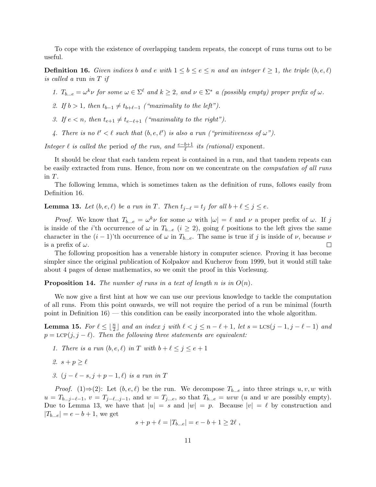To cope with the existence of overlapping tandem repeats, the concept of runs turns out to be useful.

**Definition 16.** Given indices b and e with  $1 \leq b \leq e \leq n$  and an integer  $\ell \geq 1$ , the triple  $(b, e, \ell)$ is called a run in T if

1.  $T_{b\dots e} = \omega^k \nu$  for some  $\omega \in \Sigma^{\ell}$  and  $k \geq 2$ , and  $\nu \in \Sigma^*$  a (possibly empty) proper prefix of  $\omega$ .

2. If  $b > 1$ , then  $t_{b-1} \neq t_{b+\ell-1}$  ("maximality to the left").

3. If  $e < n$ , then  $t_{e+1} \neq t_{e-\ell+1}$  ("maximality to the right").

4. There is no  $\ell' < \ell$  such that  $(b, e, \ell')$  is also a run ("primitiveness of  $\omega$ ").

Integer  $\ell$  is called the period of the run, and  $\frac{e-b+1}{\ell}$  its (rational) exponent.

It should be clear that each tandem repeat is contained in a run, and that tandem repeats can be easily extracted from runs. Hence, from now on we concentrate on the *computation of all runs* in T.

The following lemma, which is sometimes taken as the definition of runs, follows easily from Definition 16.

**Lemma 13.** Let  $(b, e, l)$  be a run in T. Then  $t_{i-\ell} = t_i$  for all  $b + l \leq j \leq e$ .

*Proof.* We know that  $T_{b\dots e} = \omega^k \nu$  for some  $\omega$  with  $|\omega| = \ell$  and  $\nu$  a proper prefix of  $\omega$ . If j is inside of the *i*'th occurrence of  $\omega$  in  $T_{b\dots e}$  ( $i \ge 2$ ), going  $\ell$  positions to the left gives the same character in the  $(i - 1)$ 'th occurrence of  $\omega$  in  $T_{b...e}$ . The same is true if j is inside of  $\nu$ , because  $\nu$  is a prefix of  $\omega$ . is a prefix of  $\omega$ .

The following proposition has a venerable history in computer science. Proving it has become simpler since the original publication of Kolpakov and Kucherov from 1999, but it would still take about 4 pages of dense mathematics, so we omit the proof in this Vorlesung.

**Proposition 14.** The number of runs in a text of length n is in  $O(n)$ .

We now give a first hint at how we can use our previous knowledge to tackle the computation of all runs. From this point onwards, we will not require the period of a run be minimal (fourth point in Definition 16) — this condition can be easily incorporated into the whole algorithm.

**Lemma 15.** For  $\ell \leq \lfloor \frac{n}{2} \rfloor$  and an index j with  $\ell < j \leq n - \ell + 1$ , let  $s = \text{LCS}(j - 1, j - \ell - 1)$  and  $p = \text{LCP}(j, j - \ell)$ . Then the following three statements are equivalent:

- 1. There is a run  $(b, e, \ell)$  in T with  $b + \ell \leq j \leq e + 1$
- 2.  $s + p > \ell$
- 3.  $(j \ell s, j + p 1, \ell)$  is a run in T

*Proof.* (1)⇒(2): Let  $(b, e, l)$  be the run. We decompose  $T_{b...e}$  into three strings  $u, v, w$  with  $u = T_{b...j-\ell-1}, v = T_{j-\ell...j-1}$ , and  $w = T_{j...e}$ , so that  $T_{b...e} = uvw$  (u and w are possibly empty). Due to Lemma 13, we have that  $|u| = s$  and  $|w| = p$ . Because  $|v| = \ell$  by construction and  $|T_{b...e}| = e - b + 1$ , we get

$$
s + p + \ell = |T_{b...e}| = e - b + 1 \ge 2\ell,
$$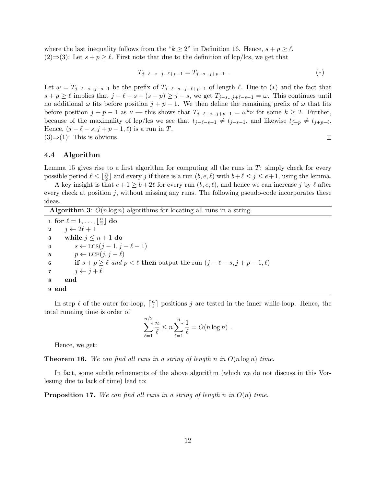where the last inequality follows from the " $k \geq 2$ " in Definition 16. Hence,  $s + p \geq \ell$ . (2)⇒(3): Let  $s + p \ge \ell$ . First note that due to the definition of lcp/lcs, we get that

$$
T_{j-\ell-s...j-\ell+p-1} = T_{j-s...j+p-1} . \tag{*}
$$

Let  $\omega = T_{j-\ell-s...j-s-1}$  be the prefix of  $T_{j-\ell-s...j-\ell+p-1}$  of length  $\ell$ . Due to (∗) and the fact that  $s + p \geq \ell$  implies that  $j - \ell - s + (s + p) \geq j - s$ , we get  $T_{j-s...j+\ell-s-1} = \omega$ . This continues until no additional  $\omega$  fits before position  $j + p - 1$ . We then define the remaining prefix of  $\omega$  that fits before position  $j + p - 1$  as  $\nu$  — this shows that  $T_{j-\ell-s...j+p-1} = \omega^k \nu$  for some  $k \geq 2$ . Further, because of the maximality of lcp/lcs we see that  $t_{j-\ell-s-1} \neq t_{j-s-1}$ , and likewise  $t_{j+p} \neq t_{j+p-\ell}$ . Hence,  $(j - \ell - s, j + p - 1, \ell)$  is a run in T.  $(3) \Rightarrow (1)$ : This is obvious.  $\Box$ 

### 4.4 Algorithm

Lemma 15 gives rise to a first algorithm for computing all the runs in  $T$ : simply check for every possible period  $\ell \leq \lfloor \frac{n}{2} \rfloor$  and every j if there is a run  $(b, e, \ell)$  with  $b+\ell \leq j \leq e+1$ , using the lemma.

A key insight is that  $e + 1 \ge b + 2\ell$  for every run  $(b, e, \ell)$ , and hence we can increase j by  $\ell$  after every check at position  $j$ , without missing any runs. The following pseudo-code incorporates these ideas.

**Algorithm 3:**  $O(n \log n)$ -algorithms for locating all runs in a string

for  $\ell = 1, \ldots, \lfloor \frac{n}{2} \rfloor$ 1 for  $\ell = 1, \ldots, \lfloor \frac{n}{2} \rfloor$  do 2  $j \leftarrow 2\ell + 1$ 3 while  $j \leq n+1$  do 4  $s \leftarrow \text{LCS}(j-1, j-\ell-1)$ 5  $p \leftarrow \text{LCP}(j, j - \ell)$ <br>6 if  $s + p > \ell$  and p 6 if  $s + p \ge \ell$  and  $p < \ell$  then output the run  $(j - \ell - s, j + p - 1, \ell)$ <br>
7  $i \leftarrow j + \ell$  $i \leftarrow i + \ell$ 8 end 9 end

In step  $\ell$  of the outer for-loop,  $\lceil \frac{n}{\ell} \rceil$  $\frac{n}{\ell}$  positions j are tested in the inner while-loop. Hence, the total running time is order of

$$
\sum_{\ell=1}^{n/2} \frac{n}{\ell} \le n \sum_{\ell=1}^{n} \frac{1}{\ell} = O(n \log n) .
$$

Hence, we get:

**Theorem 16.** We can find all runs in a string of length n in  $O(n \log n)$  time.

In fact, some subtle refinements of the above algorithm (which we do not discuss in this Vorlesung due to lack of time) lead to:

**Proposition 17.** We can find all runs in a string of length n in  $O(n)$  time.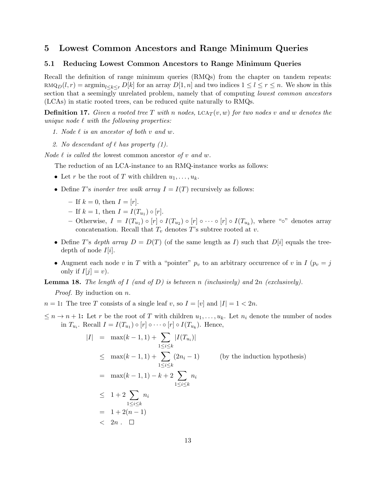# 5 Lowest Common Ancestors and Range Minimum Queries

### 5.1 Reducing Lowest Common Ancestors to Range Minimum Queries

Recall the definition of range minimum queries (RMQs) from the chapter on tandem repeats:  $\text{RMQ}(l, r) = \text{argmin}_{l \leq k \leq r} D[k]$  for an array  $D[1, n]$  and two indices  $1 \leq l \leq r \leq n$ . We show in this section that a seemingly unrelated problem, namely that of computing *lowest common ancestors* (LCAs) in static rooted trees, can be reduced quite naturally to RMQs.

**Definition 17.** Given a rooted tree T with n nodes,  $LCA_T(v, w)$  for two nodes v and w denotes the unique node  $\ell$  with the following properties:

- 1. Node  $\ell$  is an ancestor of both v and w.
- 2. No descendant of  $\ell$  has property (1).

*Node*  $\ell$  *is called the lowest common ancestor of v and w.* 

The reduction of an LCA-instance to an RMQ-instance works as follows:

- Let r be the root of T with children  $u_1, \ldots, u_k$ .
- Define T's inorder tree walk array  $I = I(T)$  recursively as follows:
	- If  $k = 0$ , then  $I = [r]$ .
	- $-$  If  $k = 1$ , then  $I = I(T_{u_1}) \circ [r]$ .
	- Otherwise,  $I = I(T_{u_1}) \circ [r] \circ I(T_{u_2}) \circ [r] \circ \cdots \circ [r] \circ I(T_{u_k})$ , where "°° denotes array concatenation. Recall that  $T_v$  denotes T's subtree rooted at v.
- Define T's depth array  $D = D(T)$  (of the same length as I) such that  $D[i]$  equals the treedepth of node  $I[i]$ .
- Augment each node v in T with a "pointer"  $p_v$  to an arbitrary occurrence of v in I ( $p_v = j$ ) only if  $I[j] = v$ .

**Lemma 18.** The length of I (and of D) is between n (inclusively) and  $2n$  (exclusively).

*Proof.* By induction on *n*.

 $n = 1$ : The tree T consists of a single leaf v, so  $I = [v]$  and  $|I| = 1 < 2n$ .

 $\leq n \to n+1$ : Let r be the root of T with children  $u_1, \ldots, u_k$ . Let  $n_i$  denote the number of nodes in  $T_{u_i}$ . Recall  $I = I(T_{u_1}) \circ [r] \circ \cdots \circ [r] \circ I(T_{u_k})$ . Hence,

$$
|I| = \max(k-1,1) + \sum_{1 \le i \le k} |I(T_{u_i})|
$$
  
\n
$$
\le \max(k-1,1) + \sum_{1 \le i \le k} (2n_i - 1) \qquad \text{(by the induction hypothesis)}
$$
  
\n
$$
= \max(k-1,1) - k + 2 \sum_{1 \le i \le k} n_i
$$
  
\n
$$
\le 1 + 2 \sum_{1 \le i \le k} n_i
$$
  
\n
$$
= 1 + 2(n-1)
$$
  
\n
$$
2n \quad \Box
$$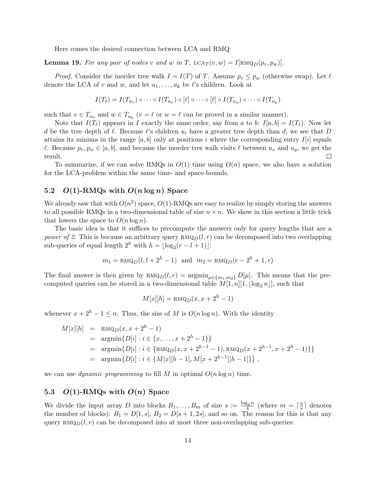Here comes the desired connection between LCA and RMQ:

**Lemma 19.** For any pair of nodes v and w in T,  $LCA_T(v, w) = I[RMQ_D(p_v, p_w)].$ 

*Proof.* Consider the inorder tree walk  $I = I(T)$  of T. Assume  $p_v \leq p_w$  (otherwise swap). Let  $\ell$ denote the LCA of v and w, and let  $u_1, \ldots, u_k$  be  $\ell$ 's children. Look at

$$
I(T_{\ell}) = I(T_{u_1}) \circ \cdots \circ I(T_{u_x}) \circ [\ell] \circ \cdots \circ [\ell] \circ I(T_{u_y}) \circ \cdots \circ I(T_{u_k})
$$

such that  $v \in T_{u_x}$  and  $w \in T_{u_y}$   $(v = \ell \text{ or } w = \ell \text{ can be proved in a similar manner}).$ 

Note that  $I(T_\ell)$  appears in I exactly the same order, say from a to b:  $I[a, b] = I(T_\ell)$ . Now let d be the tree depth of  $\ell$ . Because  $\ell$ 's children  $u_i$  have a greater tree depth than d, we see that D attains its minima in the range  $[a, b]$  only at positions i where the corresponding entry  $I[i]$  equals  $\ell$ . Because  $p_v, p_w \in [a, b]$ , and because the inorder tree walk visits  $\ell$  between  $u_x$  and  $u_y$ , we get the result. result.

To summarize, if we can solve RMQs in  $O(1)$  time using  $O(n)$  space, we also have a solution for the LCA-problem within the same time- and space-bounds.

### 5.2  $O(1)$ -RMQs with  $O(n \log n)$  Space

We already saw that with  $O(n^2)$  space,  $O(1)$ -RMQs are easy to realize by simply storing the answers to all possible RMQs in a two-dimensional table of size  $n \times n$ . We show in this section a little trick that lowers the space to  $O(n \log n)$ .

The basic idea is that it suffices to precompute the answers only for query lengths that are a power of 2. This is because an arbitrary query  $RMQ_D(l, r)$  can be decomposed into two overlapping sub-queries of equal length  $2^h$  with  $h = \lfloor \log_2(r - l + 1) \rfloor$ :

$$
m_1 = \text{RMQ}_D(l, l+2^h-1)
$$
 and  $m_2 = \text{RMQ}_D(r-2^h+1, r)$ 

The final answer is then given by  $\text{RMQ}_D(l, r) = \text{argmin}_{\mu \in \{m_1, m_2\}} D[\mu]$ . This means that the precomputed queries can be stored in a two-dimensional table  $M[1, n][1, \lfloor \log_2 n \rfloor]$ , such that

$$
M[x][h] = \text{RMQ}_D(x, x + 2^h - 1)
$$

whenever  $x + 2<sup>h</sup> - 1 \le n$ . Thus, the size of M is  $O(n \log n)$ . With the identity

$$
M[x][h] = \text{RMQ}_D(x, x + 2^h - 1)
$$
  
= 
$$
\operatorname{argmin} \{ D[i] : i \in \{x, ..., x + 2^h - 1\} \}
$$
  
= 
$$
\operatorname{argmin} \{ D[i] : i \in \{\text{RMQ}_D(x, x + 2^{h-1} - 1), \text{RMQ}_D(x + 2^{h-1}, x + 2^h - 1)\} \}
$$
  
= 
$$
\operatorname{argmin} \{ D[i] : i \in \{ M[x][h-1], M[x + 2^{h-1}][h-1] \} \},
$$

we can use *dynamic programming* to fill M in optimal  $O(n \log n)$  time.

### 5.3 O(1)-RMQs with  $O(n)$  Space

We divide the input array D into blocks  $B_1, \ldots, B_m$  of size  $s := \frac{\log_2 n}{4}$  (where  $m = \lceil \frac{n}{s} \rceil$  $\frac{n}{s}$  denotes the number of blocks):  $B_1 = D[1, s], B_2 = D[s + 1, 2s],$  and so on. The reason for this is that any query  $\text{RMQ}_D(l, r)$  can be decomposed into at most three non-overlapping sub-queries: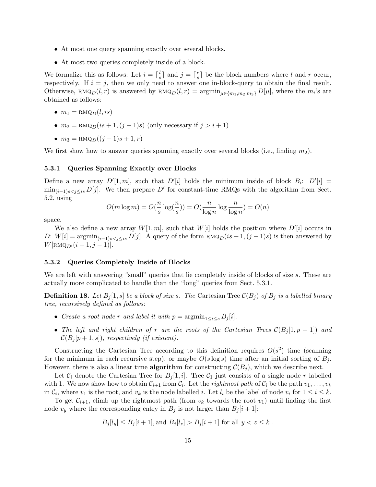- At most one query spanning exactly over several blocks.
- At most two queries completely inside of a block.

We formalize this as follows: Let  $i = \lceil \frac{l}{s} \rceil$  $\frac{l}{s}$  and  $j = \lceil \frac{r}{s} \rceil$  $\frac{r}{s}$  be the block numbers where l and r occur, respectively. If  $i = j$ , then we only need to answer one in-block-query to obtain the final result. Otherwise, RMQ<sub>D</sub>(l, r) is answered by RMQ<sub>D</sub>(l, r) =  $\operatorname{argmin}_{\mu \in \{m_1, m_2, m_3\}} D[\mu]$ , where the m<sub>i</sub>'s are obtained as follows:

- $m_1 = \text{RMQ}_D(l, is)$
- $m_2 = \text{RMQ}_D(is+1,(j-1)s)$  (only necessary if  $j > i+1$ )
- $m_3 = \text{RMQ}_D((j-1)s+1, r)$

We first show how to answer queries spanning exactly over several blocks (i.e., finding  $m_2$ ).

#### 5.3.1 Queries Spanning Exactly over Blocks

Define a new array  $D'[1,m]$ , such that  $D'[i]$  holds the minimum inside of block  $B_i$ :  $D'[i] =$  $\min_{(i-1)s < j \leq is} D[j]$ . We then prepare D' for constant-time RMQs with the algorithm from Sect. 5.2, using

$$
O(m \log m) = O(\frac{n}{s} \log(\frac{n}{s})) = O(\frac{n}{\log n} \log \frac{n}{\log n}) = O(n)
$$

space.

We also define a new array  $W[1, m]$ , such that  $W[i]$  holds the position where  $D'[i]$  occurs in D:  $W[i] = \operatorname{argmin}_{(i-1)s < j \leq is} D[j]$ . A query of the form  $\text{RMQ}_D(is+1,(j-1)s)$  is then answered by  $W[\text{RMQ}_{D'}(i + 1, j - 1)].$ 

### 5.3.2 Queries Completely Inside of Blocks

We are left with answering "small" queries that lie completely inside of blocks of size s. These are actually more complicated to handle than the "long" queries from Sect. 5.3.1.

**Definition 18.** Let  $B_i[1,s]$  be a block of size s. The Cartesian Tree  $\mathcal{C}(B_i)$  of  $B_i$  is a labelled binary tree, recursively defined as follows:

- Create a root node r and label it with  $p = \operatorname{argmin}_{1 \leq i \leq s} B_i[i].$
- The left and right children of r are the roots of the Cartesian Trees  $\mathcal{C}(B_i[1, p-1])$  and  $\mathcal{C}(B_i[p+1,s])$ , respectively (if existent).

Constructing the Cartesian Tree according to this definition requires  $O(s^2)$  time (scanning for the minimum in each recursive step), or maybe  $O(s \log s)$  time after an initial sorting of  $B_i$ . However, there is also a linear time **algorithm** for constructing  $\mathcal{C}(B_i)$ , which we describe next.

Let  $C_i$  denote the Cartesian Tree for  $B_i[1, i]$ . Tree  $C_1$  just consists of a single node r labelled with 1. We now show how to obtain  $C_{i+1}$  from  $C_i$ . Let the *rightmost path* of  $C_i$  be the path  $v_1, \ldots, v_k$ in  $C_i$ , where  $v_1$  is the root, and  $v_k$  is the node labelled i. Let  $l_i$  be the label of node  $v_i$  for  $1 \leq i \leq k$ .

To get  $C_{i+1}$ , climb up the rightmost path (from  $v_k$  towards the root  $v_1$ ) until finding the first node  $v_y$  where the corresponding entry in  $B_i$  is not larger than  $B_i[i+1]$ :

$$
B_j[l_y] \le B_j[i+1]
$$
, and  $B_j[l_z] > B_j[i+1]$  for all  $y < z \le k$ .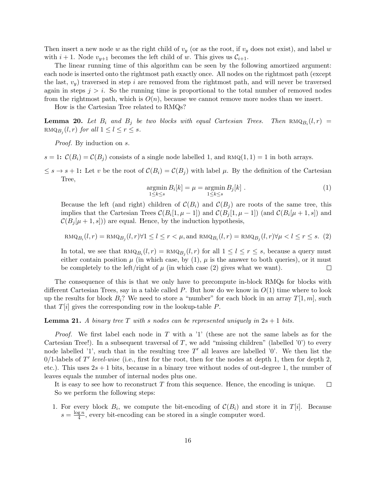Then insert a new node w as the right child of  $v_y$  (or as the root, if  $v_y$  does not exist), and label w with  $i + 1$ . Node  $v_{y+1}$  becomes the left child of w. This gives us  $\mathcal{C}_{i+1}$ .

The linear running time of this algorithm can be seen by the following amortized argument: each node is inserted onto the rightmost path exactly once. All nodes on the rightmost path (except the last,  $v_y$ ) traversed in step i are removed from the rightmost path, and will never be traversed again in steps  $j > i$ . So the running time is proportional to the total number of removed nodes from the rightmost path, which is  $O(n)$ , because we cannot remove more nodes than we insert.

How is the Cartesian Tree related to RMQs?

**Lemma 20.** Let  $B_i$  and  $B_j$  be two blocks with equal Cartesian Trees. Then  $\text{RMQ}_{B_i}(l, r)$  =  $\text{RMQ}_{B_j}(l, r)$  for all  $1 \leq l \leq r \leq s$ .

Proof. By induction on s.

- $s = 1$ :  $\mathcal{C}(B_i) = \mathcal{C}(B_i)$  consists of a single node labelled 1, and RMQ $(1, 1) = 1$  in both arrays.
- $\leq s \to s+1$ : Let v be the root of  $\mathcal{C}(B_i) = \mathcal{C}(B_i)$  with label  $\mu$ . By the definition of the Cartesian Tree,

$$
\underset{1 \le k \le s}{\operatorname{argmin}} B_i[k] = \mu = \underset{1 \le k \le s}{\operatorname{argmin}} B_j[k]. \tag{1}
$$

Because the left (and right) children of  $\mathcal{C}(B_i)$  and  $\mathcal{C}(B_i)$  are roots of the same tree, this implies that the Cartesian Trees  $\mathcal{C}(B_i[1,\mu-1])$  and  $\mathcal{C}(B_j[1,\mu-1])$  (and  $\mathcal{C}(B_i[\mu+1,s])$  and  $\mathcal{C}(B_i[\mu+1,s])$  are equal. Hence, by the induction hypothesis,

$$
\text{RMQ}_{B_i}(l,r) = \text{RMQ}_{B_j}(l,r) \forall 1 \le l \le r < \mu, \text{and } \text{RMQ}_{B_i}(l,r) = \text{RMQ}_{B_j}(l,r) \forall \mu < l \le r \le s. \tag{2}
$$

In total, we see that  $\text{RMQ}_{B_i}(l, r) = \text{RMQ}_{B_j}(l, r)$  for all  $1 \leq l \leq r \leq s$ , because a query must either contain position  $\mu$  (in which case, by (1),  $\mu$  is the answer to both queries), or it must be completely to the left/right of  $\mu$  (in which case (2) gives what we want).  $\Box$ 

The consequence of this is that we only have to precompute in-block RMQs for blocks with different Cartesian Trees, say in a table called P. But how do we know in  $O(1)$  time where to look up the results for block  $B_i$ ? We need to store a "number" for each block in an array  $T[1, m]$ , such that  $T[i]$  gives the corresponding row in the lookup-table  $P$ .

### **Lemma 21.** A binary tree T with s nodes can be represented uniquely in  $2s + 1$  bits.

*Proof.* We first label each node in  $T$  with a '1' (these are not the same labels as for the Cartesian Tree!). In a subsequent traversal of T, we add "missing children" (labelled  $'0'$ ) to every node labelled '1', such that in the resulting tree  $T'$  all leaves are labelled '0'. We then list the  $0/1$ -labels of T' level-wise (i.e., first for the root, then for the nodes at depth 1, then for depth 2, etc.). This uses  $2s + 1$  bits, because in a binary tree without nodes of out-degree 1, the number of leaves equals the number of internal nodes plus one.

It is easy to see how to reconstruct  $T$  from this sequence. Hence, the encoding is unique.  $\Box$ So we perform the following steps:

1. For every block  $B_i$ , we compute the bit-encoding of  $\mathcal{C}(B_i)$  and store it in  $T[i]$ . Because  $s = \frac{\log n}{4}$  $\frac{g n}{4}$ , every bit-encoding can be stored in a single computer word.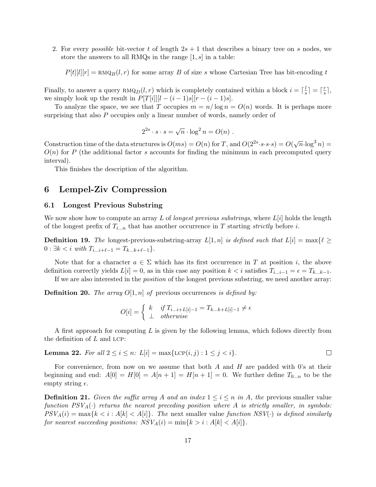2. For every *possible* bit-vector t of length  $2s + 1$  that describes a binary tree on s nodes, we store the answers to all RMQs in the range  $[1, s]$  in a table:

 $P[t][l][r] = \text{RMQ}_B(l, r)$  for some array B of size s whose Cartesian Tree has bit-encoding t

Finally, to answer a query  $\text{RMQ}_D(l, r)$  which is completely contained within a block  $i = \lceil \frac{l}{s} \rceil$  $\frac{l}{s}$ ] =  $\lceil \frac{r}{s} \rceil$  $\frac{r}{s}$ , we simply look up the result in  $P[T[i]][l - (i-1)s][r - (i-1)s]$ .

To analyze the space, we see that T occupies  $m = n/\log n = O(n)$  words. It is perhaps more surprising that also P occupies only a linear number of words, namely order of

$$
2^{2s} \cdot s \cdot s = \sqrt{n} \cdot \log^2 n = O(n) .
$$

Construction time of the data structures is  $O(ms) = O(n)$  for T, and  $O(2^{2s} \cdot s \cdot s \cdot s) = O(\sqrt{n} \cdot \log^3 n)$  $O(n)$  for P (the additional factor s accounts for finding the minimum in each precomputed query interval).

This finishes the description of the algorithm.

# 6 Lempel-Ziv Compression

### 6.1 Longest Previous Substring

We now show how to compute an array L of longest previous substrings, where  $L[i]$  holds the length of the longest prefix of  $T_{i...n}$  that has another occurrence in T starting strictly before i.

**Definition 19.** The longest-previous-substring-array  $L[1, n]$  is defined such that  $L[i] = \max\{\ell \geq 1\}$  $0: \exists k < i \text{ with } T_{i...i+\ell-1} = T_{k...k+\ell-1}$ .

Note that for a character  $a \in \Sigma$  which has its first occurrence in T at position i, the above definition correctly yields  $L[i] = 0$ , as in this case any position  $k < i$  satisfies  $T_{i...i-1} = \epsilon = T_{k...k-1}$ .

If we are also interested in the position of the longest previous substring, we need another array:

**Definition 20.** The array  $O[1,n]$  of previous occurrences is defined by:

$$
O[i] = \begin{cases} k & if T_{i...i+L[i]-1} = T_{k...k+L[i]-1} \neq \epsilon \\ \perp & otherwise \end{cases}
$$

A first approach for computing  $L$  is given by the following lemma, which follows directly from the definition of  $L$  and LCP:

**Lemma 22.** For all 
$$
2 \leq i \leq n
$$
:  $L[i] = \max\{\text{LCP}(i,j) : 1 \leq j < i\}.$ 

For convenience, from now on we assume that both  $A$  and  $H$  are padded with 0's at their beginning and end:  $A[0] = H[0] = A[n+1] = H[n+1] = 0$ . We further define  $T_{0...n}$  to be the empty string  $\epsilon$ .

**Definition 21.** Given the suffix array A and an index  $1 \leq i \leq n$  in A, the previous smaller value function  $PSV_A(\cdot)$  returns the nearest preceding position where A is strictly smaller, in symbols:  $PSV_A(i) = \max\{k < i : A[k] < A[i]\}.$  The next smaller value function  $NSV(\cdot)$  is defined similarly for nearest succeeding positions:  $NSV_A(i) = \min\{k > i : A[k] < A[i]\}.$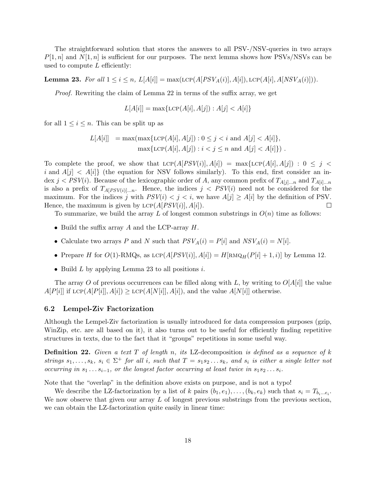The straightforward solution that stores the answers to all PSV-/NSV-queries in two arrays  $P[1,n]$  and  $N[1,n]$  is sufficient for our purposes. The next lemma shows how PSVs/NSVs can be used to compute  $L$  efficiently:

**Lemma 23.** For all  $1 \le i \le n$ ,  $L[A[i]] = \max(\text{LCP}(A[PSV_A(i)], A[i]), \text{LCP}(A[i], A[NSV_A(i)])).$ 

Proof. Rewriting the claim of Lemma 22 in terms of the suffix array, we get

$$
L[A[i]] = \max\{\text{LCP}(A[i], A[j]) : A[j] < A[i]\}
$$

for all  $1 \leq i \leq n$ . This can be split up as

$$
L[A[i]] = \max(\max\{\text{LCP}(A[i], A[j]) : 0 \le j < i \text{ and } A[j] < A[i]\},\
$$
\n
$$
\max\{\text{LCP}(A[i], A[j]) : i < j \le n \text{ and } A[j] < A[i]\}.
$$

To complete the proof, we show that  $LCP(A[PSV(i)], A[i]) = \max\{LCP(A[i], A[j]) : 0 \leq j \leq k\}$ i and  $A[j] < A[i]$  (the equation for NSV follows similarly). To this end, first consider an index  $j < PSV(i)$ . Because of the lexicographic order of A, any common prefix of  $T_{A[j]...n}$  and  $T_{A[i]...n}$ is also a prefix of  $T_{A[PSV(i)]...n}$ . Hence, the indices  $j < PSV(i)$  need not be considered for the maximum. For the indices j with  $PSV(i) < j < i$ , we have  $A[j] \geq A[i]$  by the definition of PSV.<br>Hence, the maximum is given by LCP( $A[PSV(i)]$ ,  $A[i]$ ). Hence, the maximum is given by  $LCP(A[PSV(i)], A[i])$ .

To summarize, we build the array L of longest common substrings in  $O(n)$  time as follows:

- Build the suffix array  $A$  and the LCP-array  $H$ .
- Calculate two arrays P and N such that  $PSV_A(i) = P[i]$  and  $NSV_A(i) = N[i]$ .
- Prepare H for  $O(1)$ -RMQs, as  $LCP(A[PSV(i)], A[i]) = H[RMQ_H(P[i] + 1, i)]$  by Lemma 12.
- Build  $L$  by applying Lemma 23 to all positions  $i$ .

The array O of previous occurrences can be filled along with L, by writing to  $O[A[i]]$  the value  $A[P[i]]$  if LCP( $A[P[i]], A[i]) \geq LCP(A[N[i]], A[i])$ , and the value  $A[N[i]]$  otherwise.

### 6.2 Lempel-Ziv Factorization

Although the Lempel-Ziv factorization is usually introduced for data compression purposes (gzip, WinZip, etc. are all based on it), it also turns out to be useful for efficiently finding repetitive structures in texts, due to the fact that it "groups" repetitions in some useful way.

**Definition 22.** Given a text  $T$  of length n, its LZ-decomposition is defined as a sequence of  $k$ strings  $s_1, \ldots, s_k$ ,  $s_i \in \Sigma^+$  for all i, such that  $T = s_1 s_2 \ldots s_k$ , and  $s_i$  is either a single letter not occurring in  $s_1 \ldots s_{i-1}$ , or the longest factor occurring at least twice in  $s_1 s_2 \ldots s_i$ .

Note that the "overlap" in the definition above exists on purpose, and is not a typo!

We describe the LZ-factorization by a list of k pairs  $(b_1, e_1), \ldots, (b_k, e_k)$  such that  $s_i = T_{b_i \ldots e_i}$ . We now observe that given our array  $L$  of longest previous substrings from the previous section, we can obtain the LZ-factorization quite easily in linear time: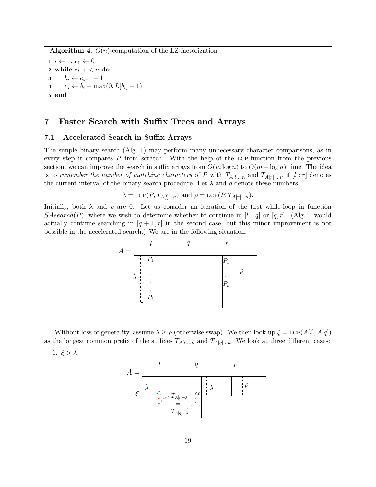**Algorithm 4:**  $O(n)$ -computation of the LZ-factorization

 $i \leftarrow 1, e_0 \leftarrow 0$ 2 while  $e_{i-1} < n$  do 3  $b_i \leftarrow e_{i-1} + 1$  $e_i \leftarrow b_i + \max(0, L[b_i] - 1)$ 5 end

# 7 Faster Search with Suffix Trees and Arrays

### 7.1 Accelerated Search in Suffix Arrays

The simple binary search (Alg. 1) may perform many unnecessary character comparisons, as in every step it compares P from scratch. With the help of the lcp-function from the previous section, we can improve the search in suffix arrays from  $O(m \log n)$  to  $O(m + \log n)$  time. The idea is to remember the number of matching characters of P with  $T_{A[l]...n}$  and  $T_{A[r]...n}$ , if  $[l : r]$  denotes the current interval of the binary search procedure. Let  $\lambda$  and  $\rho$  denote these numbers,

$$
\lambda = \text{LCP}(P, T_{A[l]...n})
$$
 and  $\rho = \text{LCP}(P, T_{A[r]...n}).$ 

Initially, both  $\lambda$  and  $\rho$  are 0. Let us consider an iteration of the first while-loop in function SAsearch(P), where we wish to determine whether to continue in  $l : q$  or  $[q, r]$ . (Alg. 1 would actually continue searching in  $[q + 1, r]$  in the second case, but this minor improvement is not possible in the accelerated search.) We are in the following situation:



Without loss of generality, assume  $\lambda \geq \rho$  (otherwise swap). We then look up  $\xi = \text{LCP}(A[l], A[q])$ as the longest common prefix of the suffixes  $T_{A[l]...n}$  and  $T_{A[q]...n}$ . We look at three different cases:

1.  $\xi > \lambda$ 

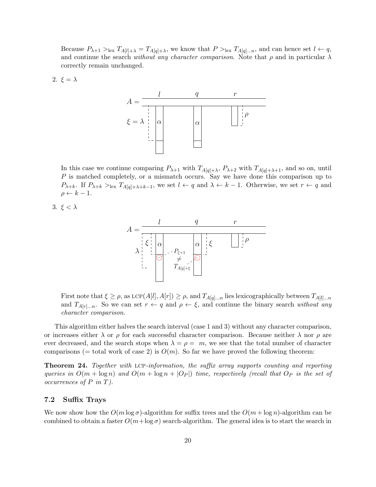Because  $P_{\lambda+1} >_{\text{lex}} T_{A[l]+\lambda} = T_{A[q]+\lambda}$ , we know that  $P >_{\text{lex}} T_{A[q]...n}$ , and can hence set  $l \leftarrow q$ , and continue the search without any character comparison. Note that  $\rho$  and in particular  $\lambda$ correctly remain unchanged.

2. 
$$
\xi = \lambda
$$



In this case we continue comparing  $P_{\lambda+1}$  with  $T_{A[q]+\lambda}$ ,  $P_{\lambda+2}$  with  $T_{A[q]+\lambda+1}$ , and so on, until P is matched completely, or a mismatch occurs. Say we have done this comparison up to  $P_{\lambda+k}$ . If  $P_{\lambda+k} >$ <sub>lex</sub>  $T_{A[q]+\lambda+k-1}$ , we set  $l \leftarrow q$  and  $\lambda \leftarrow k-1$ . Otherwise, we set  $r \leftarrow q$  and  $\rho \leftarrow k - 1.$ 

3. 
$$
\xi < \lambda
$$



First note that  $\xi \ge \rho$ , as LCP(A[l], A[r])  $\ge \rho$ , and  $T_{A[q]...n}$  lies lexicographically between  $T_{A[l]...n}$ and  $T_{A[r]...n}$ . So we can set  $r \leftarrow q$  and  $\rho \leftarrow \xi$ , and continue the binary search without any character comparison.

This algorithm either halves the search interval (case 1 and 3) without any character comparison, or increases either  $\lambda$  or  $\rho$  for each successful character comparison. Because neither  $\lambda$  nor  $\rho$  are ever decreased, and the search stops when  $\lambda = \rho = m$ , we see that the total number of character comparisons (= total work of case 2) is  $O(m)$ . So far we have proved the following theorem:

Theorem 24. Together with lcp-information, the suffix array supports counting and reporting queries in  $O(m + \log n)$  and  $O(m + \log n + |O_P|)$  time, respectively (recall that  $O_P$  is the set of occurrences of  $P$  in  $T$ ).

### 7.2 Suffix Trays

We now show how the  $O(m \log \sigma)$ -algorithm for suffix trees and the  $O(m + \log n)$ -algorithm can be combined to obtain a faster  $O(m + \log \sigma)$  search-algorithm. The general idea is to start the search in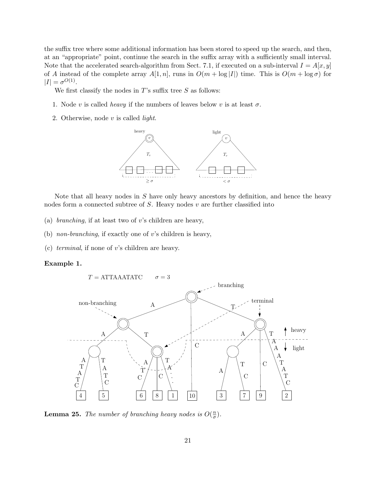the suffix tree where some additional information has been stored to speed up the search, and then, at an "appropriate" point, continue the search in the suffix array with a sufficiently small interval. Note that the accelerated search-algorithm from Sect. 7.1, if executed on a sub-interval  $I = A[x, y]$ of A instead of the complete array  $A[1, n]$ , runs in  $O(m + \log |I|)$  time. This is  $O(m + \log \sigma)$  for  $|I| = \sigma^{O(1)}$ .

We first classify the nodes in  $T$ 's suffix tree  $S$  as follows:

- 1. Node v is called *heavy* if the numbers of leaves below v is at least  $\sigma$ .
- 2. Otherwise, node  $v$  is called *light*.



Note that all heavy nodes in  $S$  have only heavy ancestors by definition, and hence the heavy nodes form a connected subtree of  $S$ . Heavy nodes  $v$  are further classified into

- (a) *branching*, if at least two of v's children are heavy,
- (b) non-branching, if exactly one of v's children is heavy,
- (c) terminal, if none of v's children are heavy.

### Example 1.



**Lemma 25.** The number of branching heavy nodes is  $O(\frac{n}{\sigma})$  $\frac{n}{\sigma}$ ).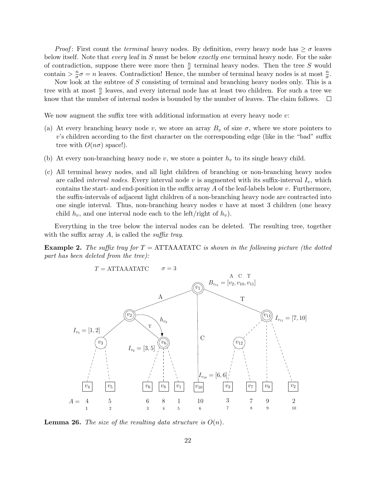*Proof*: First count the *terminal* heavy nodes. By definition, every heavy node has  $\geq \sigma$  leaves below itself. Note that *every* leaf in S must be below *exactly one* terminal heavy node. For the sake of contradiction, suppose there were more then  $\frac{n}{\sigma}$  terminal heavy nodes. Then the tree S would contain  $> \frac{n}{\sigma}$  $\frac{n}{\sigma}\sigma = n$  leaves. Contradiction! Hence, the number of terminal heavy nodes is at most  $\frac{n}{\sigma}$ .

Now look at the subtree of S consisting of terminal and branching heavy nodes only. This is a tree with at most  $\frac{n}{\sigma}$  leaves, and every internal node has at least two children. For such a tree we know that the number of internal nodes is bounded by the number of leaves. The claim follows.  $\Box$ 

We now augment the suffix tree with additional information at every heavy node v:

- (a) At every branching heavy node v, we store an array  $B_v$  of size  $\sigma$ , where we store pointers to v's children according to the first character on the corresponding edge (like in the "bad" suffix tree with  $O(n\sigma)$  space!).
- (b) At every non-branching heavy node v, we store a pointer  $h_v$  to its single heavy child.
- (c) All terminal heavy nodes, and all light children of branching or non-branching heavy nodes are called *interval nodes*. Every interval node  $v$  is augmented with its suffix-interval  $I_v$ , which contains the start- and end-position in the suffix array  $A$  of the leaf-labels below  $v$ . Furthermore, the suffix-intervals of adjacent light children of a non-branching heavy node are contracted into one single interval. Thus, non-branching heavy nodes  $v$  have at most 3 children (one heavy child  $h_v$ , and one interval node each to the left/right of  $h_v$ ).

Everything in the tree below the interval nodes can be deleted. The resulting tree, together with the suffix array  $A$ , is called the *suffix tray*.

**Example 2.** The suffix tray for  $T = \text{ATTAATATC}$  is shown in the following picture (the dotted part has been deleted from the tree):



**Lemma 26.** The size of the resulting data structure is  $O(n)$ .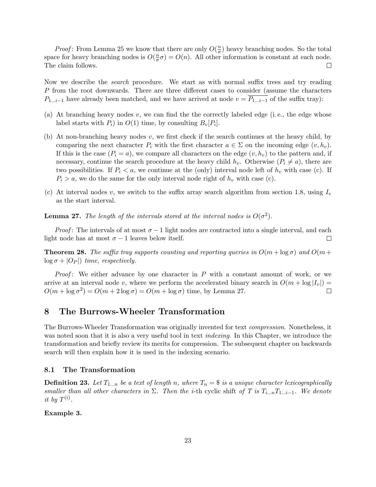*Proof*: From Lemma 25 we know that there are only  $O(\frac{n}{\sigma})$  $\frac{n}{\sigma}$ ) heavy branching nodes. So the total space for heavy branching nodes is  $O(\frac{n}{\sigma})$  $\frac{n}{\sigma}\sigma$ ) =  $O(n)$ . All other information is constant at each node. The claim follows.  $\Box$ 

Now we describe the search procedure. We start as with normal suffix trees and try reading P from the root downwards. There are three different cases to consider (assume the characters  $P_{1...i-1}$  have already been matched, and we have arrived at node  $v = \overline{P_{1...i-1}}$  of the suffix tray):

- (a) At branching heavy nodes  $v$ , we can find the the correctly labeled edge (i.e., the edge whose label starts with  $P_i$ ) in  $O(1)$  time, by consulting  $B_v[P_i]$ .
- (b) At non-branching heavy nodes  $v$ , we first check if the search continues at the heavy child, by comparing the next character  $P_i$  with the first character  $a \in \Sigma$  on the incoming edge  $(v, h_v)$ . If this is the case  $(P_i = a)$ , we compare all characters on the edge  $(v, h_v)$  to the pattern and, if necessary, continue the search procedure at the heavy child  $h_v$ . Otherwise  $(P_i \neq a)$ , there are two possibilities. If  $P_i < a$ , we continue at the (only) interval node left of  $h_v$  with case (c). If  $P_i > a$ , we do the same for the only interval node right of  $h_v$  with case (c).
- (c) At interval nodes v, we switch to the suffix array search algorithm from section 1.8, using  $I_v$ as the start interval.

**Lemma 27.** The length of the intervals stored at the interval nodes is  $O(\sigma^2)$ .

*Proof*: The intervals of at most  $\sigma - 1$  light nodes are contracted into a single interval, and each t node has at most  $\sigma - 1$  leaves below itself. light node has at most  $\sigma - 1$  leaves below itself.

**Theorem 28.** The suffix tray supports counting and reporting queries in  $O(m + \log \sigma)$  and  $O(m +$  $\log \sigma + |O_P|$ ) time, respectively.

*Proof*: We either advance by one character in  $P$  with a constant amount of work, or we arrive at an interval node v, where we perform the accelerated binary search in  $O(m + \log |I_v|) = O(m + \log \sigma^2) = O(m + 2\log \sigma) = O(m + \log \sigma)$  time, by Lemma 27.  $O(m + \log \sigma^2) = O(m + 2\log \sigma) = O(m + \log \sigma)$  time, by Lemma 27.

### 8 The Burrows-Wheeler Transformation

The Burrows-Wheeler Transformation was originally invented for text compression. Nonetheless, it was noted soon that it is also a very useful tool in text *indexing*. In this Chapter, we introduce the transformation and briefly review its merits for compression. The subsequent chapter on backwards search will then explain how it is used in the indexing scenario.

### 8.1 The Transformation

**Definition 23.** Let  $T_{1...n}$  be a text of length n, where  $T_n = $$  is a unique character lexicographically smaller than all other characters in  $\Sigma$ . Then the i-th cyclic shift of T is  $T_{i...n}T_{1...i-1}$ . We denote it by  $T^{(i)}$ .

Example 3.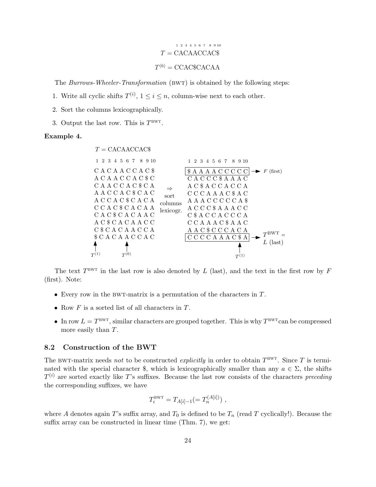# $T =$ CACAACCAC\$ 1 2 3 4 5 6 7 8 9 10  $T^{(6)} = CCAC\$CACAA$

The Burrows-Wheeler-Transformation (BWT) is obtained by the following steps:

- 1. Write all cyclic shifts  $T^{(i)}$ ,  $1 \leq i \leq n$ , column-wise next to each other.
- 2. Sort the columns lexicographically.
- 3. Output the last row. This is  $T^{\text{BWT}}$ .

#### Example 4.



The text  $T^{\text{BWT}}$  in the last row is also denoted by L (last), and the text in the first row by F (first). Note:

- Every row in the BWT-matrix is a permutation of the characters in  $T$ .
- Row  $F$  is a sorted list of all characters in  $T$ .
- In row  $L = T^{BWT}$ , similar characters are grouped together. This is why  $T^{BWT}$ can be compressed more easily than T.

### 8.2 Construction of the BWT

The BWT-matrix needs not to be constructed explicitly in order to obtain  $T^{\text{BWT}}$ . Since T is terminated with the special character \$, which is lexicographically smaller than any  $a \in \Sigma$ , the shifts  $T^{(i)}$  are sorted exactly like T's suffixes. Because the last row consists of the characters preceding the corresponding suffixes, we have

$$
T_i^{\text{BWT}} = T_{A[i]-1} (= T_n^{(A[i])}) \ ,
$$

where A denotes again T's suffix array, and  $T_0$  is defined to be  $T_n$  (read T cyclically!). Because the suffix array can be constructed in linear time (Thm. 7), we get: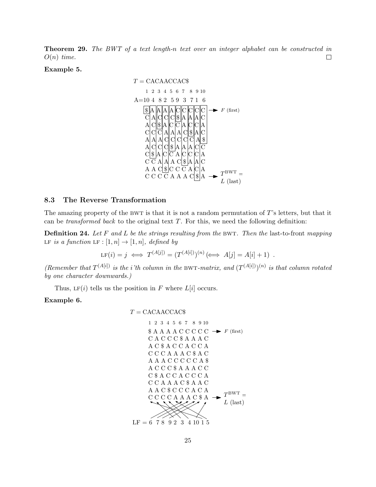**Theorem 29.** The BWT of a text length-n text over an integer alphabet can be constructed in  $O(n)$  time.  $\Box$ 

Example 5.



### 8.3 The Reverse Transformation

The amazing property of the BWT is that it is not a random permutation of  $T$ 's letters, but that it can be *transformed back* to the original text  $T$ . For this, we need the following definition:

**Definition 24.** Let F and L be the strings resulting from the BWT. Then the last-to-front mapping LF is a function LF :  $[1, n] \rightarrow [1, n]$ , defined by

$$
\text{LF}(i) = j \iff T^{(A[j])} = (T^{(A[i])})^{(n)} \iff A[j] = A[i] + 1) .
$$

(Remember that  $T^{(A[i])}$  is the i'th column in the BWT-matrix, and  $(T^{(A[i])})^{(n)}$  is that column rotated by one character downwards.)

Thus, LF(i) tells us the position in F where  $L[i]$  occurs.

### Example 6.

$$
T = \mathrm{CACAACCAC\$}
$$

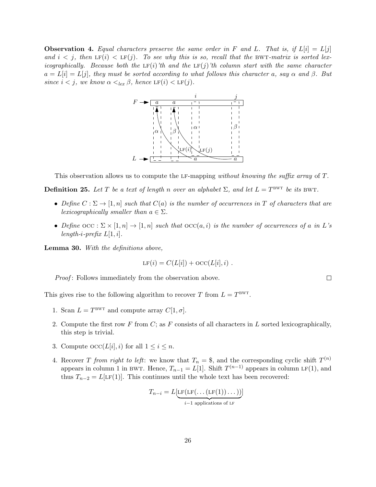**Observation 4.** Equal characters preserve the same order in F and L. That is, if  $L[i] = L[j]$ and  $i < j$ , then LF(i)  $\lt$  LF(j). To see why this is so, recall that the BWT-matrix is sorted lexicographically. Because both the  $LF(i)$ 'th and the  $LF(j)$ 'th column start with the same character  $a = L[i] = L[j]$ , they must be sorted according to what follows this character a, say  $\alpha$  and  $\beta$ . But since  $i < j$ , we know  $\alpha <_{lex} \beta$ , hence  $LF(i) < LF(j)$ .



This observation allows us to compute the LF-mapping without knowing the suffix array of T.

**Definition 25.** Let T be a text of length n over an alphabet  $\Sigma$ , and let  $L = T^{BWT}$  be its BWT.

- Define  $C : \Sigma \to [1, n]$  such that  $C(a)$  is the number of occurrences in T of characters that are lexicographically smaller than  $a \in \Sigma$ .
- Define  $\text{occ } : \Sigma \times [1, n] \to [1, n]$  such that  $\text{occ}(a, i)$  is the number of occurrences of a in L's length-i-prefix  $L[1, i]$ .

Lemma 30. With the definitions above,

$$
LF(i) = C(L[i]) + \mathrm{OCC}(L[i], i) .
$$

*Proof*: Follows immediately from the observation above.

This gives rise to the following algorithm to recover T from  $L = T^{BWT}$ .

- 1. Scan  $L = T^{BWT}$  and compute array  $C[1, \sigma]$ .
- 2. Compute the first row F from C; as F consists of all characters in L sorted lexicographically, this step is trivial.
- 3. Compute  $\mathrm{occ}(L[i], i)$  for all  $1 \leq i \leq n$ .
- 4. Recover T from right to left: we know that  $T_n = $$ , and the corresponding cyclic shift  $T^{(n)}$ appears in column 1 in BWT. Hence,  $T_{n-1} = L[1]$ . Shift  $T^{(n-1)}$  appears in column LF(1), and thus  $T_{n-2} = L[\text{LF}(1)]$ . This continues until the whole text has been recovered:

$$
T_{n-i} = L[\underbrace{\text{LF}(\text{LF}(\dots(\text{LF}(1))\dots))}_{i-1 \text{ applications of LF}}]
$$

 $\Box$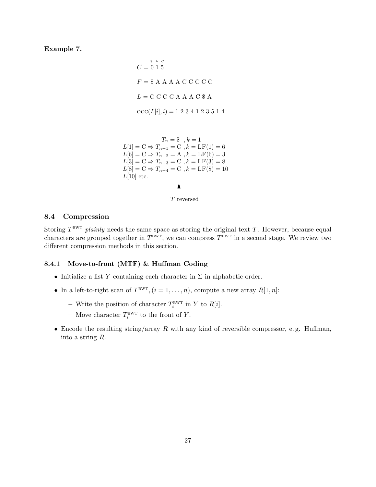### Example 7.

 $C = 0 1 5$  $F = $ A A A A C C C C C$  $L = C C C C A A A C $ A$  $\mathrm{occ}(L[i], i) = 1\ 2\ 3\ 4\ 1\ 2\ 3\ 5\ 1\ 4$ \$ A C



### 8.4 Compression

Storing  $T^{\text{BWT}}$  plainly needs the same space as storing the original text T. However, because equal characters are grouped together in  $T^{\text{BWT}}$ , we can compress  $T^{\text{BWT}}$  in a second stage. We review two different compression methods in this section.

### 8.4.1 Move-to-front (MTF) & Huffman Coding

- Initialize a list Y containing each character in  $\Sigma$  in alphabetic order.
- In a left-to-right scan of  $T^{\text{BWT}}, (i = 1, ..., n)$ , compute a new array  $R[1, n]$ :
	- Write the position of character  $T_i^{\text{BWT}}$  in Y to  $R[i]$ .
	- Move character  $T_i^{\text{BWT}}$  to the front of Y.
- Encode the resulting string/array  $R$  with any kind of reversible compressor, e.g. Huffman, into a string R.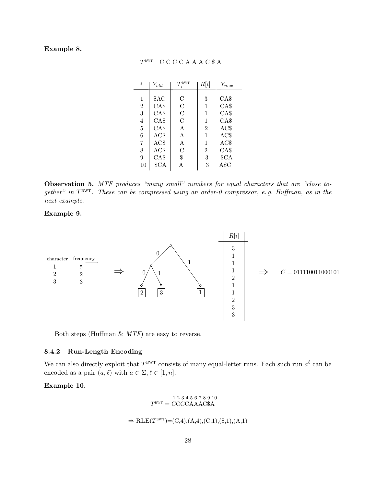### Example 8.

| i              | $Y_{old}$ | $T^{\rm BWT}_i$    | R[i]           | $Y_{new}$        |
|----------------|-----------|--------------------|----------------|------------------|
|                |           |                    |                |                  |
| 1              | \$AC      | $\overline{\rm C}$ | 3              | CAS              |
| $\overline{2}$ | CAS       | $\overline{\rm C}$ | 1              | CAS              |
| 3              | CAS       | $\mathcal{C}$      | 1              | CAS              |
| $\overline{4}$ | CAS       | $\overline{C}$     | 1              | CAS              |
| $\overline{5}$ | CAS       | Α                  | $\overline{2}$ | AC\$             |
| 6              | AC\$      | A                  | 1              | AC\$             |
| 7              | AC\$      | Α                  | 1              | AC\$             |
| 8              | AC\$      | $\overline{C}$     | $\overline{2}$ | CA\$             |
| 9              | CAS       | \$                 | 3              | \$ <sub>CA</sub> |
| 10             | $C_A$     |                    | 3              | $\rm A\$C$       |

### $T^{\text{\tiny{BWT}}} = C C C C A A A C$  \$ A

Observation 5. MTF produces "many small" numbers for equal characters that are "close together" in  $T^{\text{BWT}}$ . These can be compressed using an order-0 compressor, e.g. Huffman, as in the next example.

### Example 9.



Both steps (Huffman  $\&$  MTF) are easy to reverse.

### 8.4.2 Run-Length Encoding

We can also directly exploit that  $T^{\text{BWT}}$  consists of many equal-letter runs. Each such run  $a^{\ell}$  can be encoded as a pair  $(a, \ell)$  with  $a \in \Sigma, \ell \in [1, n]$ .

### Example 10.

$$
T^{\text{BWT}} = \text{CCCCAAAC\$A}
$$

 $\Rightarrow$  RLE(T<sup>BWT</sup>)=(C,4),(A,4),(C,1),(\$,1),(A,1)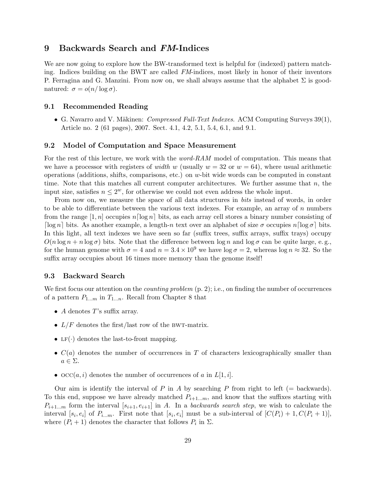# 9 Backwards Search and FM-Indices

We are now going to explore how the BW-transformed text is helpful for (indexed) pattern matching. Indices building on the BWT are called FM-indices, most likely in honor of their inventors P. Ferragina and G. Manzini. From now on, we shall always assume that the alphabet  $\Sigma$  is goodnatured:  $\sigma = o(n/\log \sigma)$ .

### 9.1 Recommended Reading

• G. Navarro and V. Mäkinen: *Compressed Full-Text Indexes.* ACM Computing Surveys  $39(1)$ , Article no. 2 (61 pages), 2007. Sect. 4.1, 4.2, 5.1, 5.4, 6.1, and 9.1.

### 9.2 Model of Computation and Space Measurement

For the rest of this lecture, we work with the *word-RAM* model of computation. This means that we have a processor with registers of *width* w (usually  $w = 32$  or  $w = 64$ ), where usual arithmetic operations (additions, shifts, comparisons, etc.) on w-bit wide words can be computed in constant time. Note that this matches all current computer architectures. We further assume that  $n$ , the input size, satisfies  $n \leq 2^w$ , for otherwise we could not even address the whole input.

From now on, we measure the space of all data structures in bits instead of words, in order to be able to differentiate between the various text indexes. For example, an array of  $n$  numbers from the range  $[1, n]$  occupies  $n \lceil \log n \rceil$  bits, as each array cell stores a binary number consisting of  $\lceil \log n \rceil$  bits. As another example, a length-n text over an alphabet of size  $\sigma$  occupies  $n \lceil \log \sigma \rceil$  bits. In this light, all text indexes we have seen so far (suffix trees, suffix arrays, suffix trays) occupy  $O(n \log n + n \log \sigma)$  bits. Note that the difference between  $\log n$  and  $\log \sigma$  can be quite large, e.g., for the human genome with  $\sigma = 4$  and  $n = 3.4 \times 10^9$  we have  $\log \sigma = 2$ , whereas  $\log n \approx 32$ . So the suffix array occupies about 16 times more memory than the genome itself!

### 9.3 Backward Search

We first focus our attention on the *counting problem*  $(p, 2)$ ; i.e., on finding the number of occurrences of a pattern  $P_{1...m}$  in  $T_{1...n}$ . Recall from Chapter 8 that

- $A$  denotes  $T$ 's suffix array.
- $L/F$  denotes the first/last row of the BWT-matrix.
- LF( $\cdot$ ) denotes the last-to-front mapping.
- $C(a)$  denotes the number of occurrences in T of characters lexicographically smaller than  $a \in \Sigma$ .
- $\mathrm{occ}(a, i)$  denotes the number of occurrences of a in  $L[1, i]$ .

Our aim is identify the interval of P in A by searching P from right to left ( $=$  backwards). To this end, suppose we have already matched  $P_{i+1...m}$ , and know that the suffixes starting with  $P_{i+1...m}$  form the interval  $[s_{i+1}, e_{i+1}]$  in A. In a backwards search step, we wish to calculate the interval  $[s_i, e_i]$  of  $P_{i...m}$ . First note that  $[s_i, e_i]$  must be a sub-interval of  $[C(P_i) + 1, C(P_i + 1)],$ where  $(P_i + 1)$  denotes the character that follows  $P_i$  in  $\Sigma$ .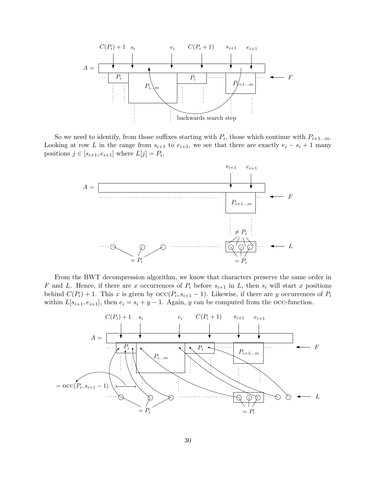

So we need to identify, from those suffixes starting with  $P_i$ , those which continue with  $P_{i+1...m}$ . Looking at row L in the range from  $s_{i+1}$  to  $e_{i+1}$ , we see that there are exactly  $e_i - s_i + 1$  many positions  $j \in [s_{i+1}, e_{i+1}]$  where  $L[j] = P_i$ .



From the BWT decompression algorithm, we know that characters preserve the same order in F and L. Hence, if there are x occurrences of  $P_i$  before  $s_{i+1}$  in L, then  $s_i$  will start x positions behind  $C(P_i) + 1$ . This x is given by  $\operatorname{occ}(P_i, s_{i+1} - 1)$ . Likewise, if there are y occurrences of  $P_i$ within  $L[s_{i+1}, e_{i+1}]$ , then  $e_i = s_i + y - 1$ . Again, y can be computed from the occ-function.

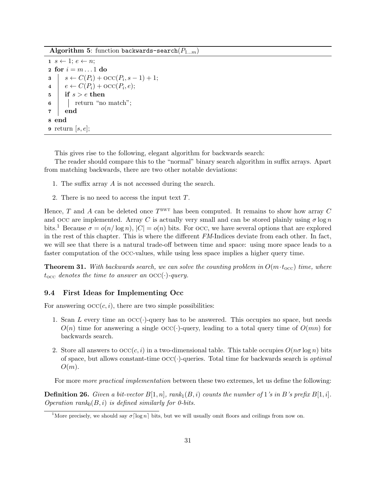Algorithm 5: function backwards-search $(P_{1...m})$ 

 $1 \ s \leftarrow 1; e \leftarrow n;$ 2 for  $i = m \dots 1$  do s  $\begin{array}{c} s \leftarrow C(P_i) + \text{occ}(P_i, s - 1) + 1; \\ 4 \leftarrow C(P_i) + \text{occ}(P_i, e); \end{array}$  $e \leftarrow C(P_i) + \mathrm{occ}(P_i, e);$  $5 \text{ }$  if  $s > e$  then 6 | return "no match";  $7 \vert$  end 8 end **9** return  $[s, e]$ ;

This gives rise to the following, elegant algorithm for backwards search:

The reader should compare this to the "normal" binary search algorithm in suffix arrays. Apart from matching backwards, there are two other notable deviations:

- 1. The suffix array A is not accessed during the search.
- 2. There is no need to access the input text T.

Hence, T and A can be deleted once  $T^{\text{BWT}}$  has been computed. It remains to show how array C and occ are implemented. Array C is actually very small and can be stored plainly using  $\sigma \log n$ bits.<sup>1</sup> Because  $\sigma = o(n/\log n)$ ,  $|C| = o(n)$  bits. For occ, we have several options that are explored in the rest of this chapter. This is where the different FM-Indices deviate from each other. In fact, we will see that there is a natural trade-off between time and space: using more space leads to a faster computation of the occ-values, while using less space implies a higher query time.

**Theorem 31.** With backwards search, we can solve the counting problem in  $O(m \cdot t_{\text{occ}})$  time, where  $t_{\rm occ}$  denotes the time to answer an  $\mathrm{occ}(\cdot)$ -query.

### 9.4 First Ideas for Implementing Occ

For answering  $\mathrm{occ}(c, i)$ , there are two simple possibilities:

- 1. Scan L every time an  $\mathrm{OCC}(\cdot)$ -query has to be answered. This occupies no space, but needs  $O(n)$  time for answering a single  $O\text{CC}(\cdot)$ -query, leading to a total query time of  $O(mn)$  for backwards search.
- 2. Store all answers to  $\operatorname{occ}(c, i)$  in a two-dimensional table. This table occupies  $O(n\sigma \log n)$  bits of space, but allows constant-time  $\mathrm{occ}(\cdot)$ -queries. Total time for backwards search is *optimal*  $O(m)$ .

For more *more practical implementation* between these two extremes, let us define the following:

**Definition 26.** Given a bit-vector  $B[1, n]$ ,  $rank_1(B, i)$  counts the number of 1's in B's prefix  $B[1, i]$ . Operation rank $0(B, i)$  is defined similarly for 0-bits.

<sup>&</sup>lt;sup>1</sup>More precisely, we should say  $\sigma \lceil \log n \rceil$  bits, but we will usually omit floors and ceilings from now on.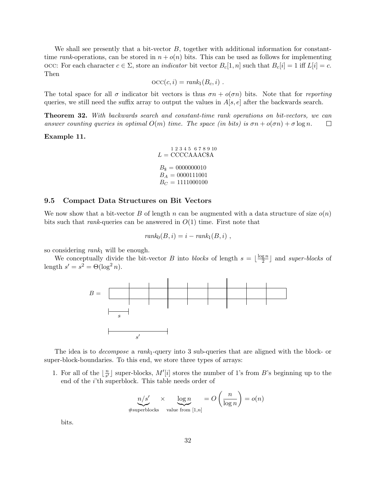We shall see presently that a bit-vector  $B$ , together with additional information for constanttime rank-operations, can be stored in  $n + o(n)$  bits. This can be used as follows for implementing occ: For each character  $c \in \Sigma$ , store an *indicator* bit vector  $B_c[1, n]$  such that  $B_c[i] = 1$  iff  $L[i] = c$ . Then

$$
occ(c, i) = rank_1(B_c, i) .
$$

The total space for all  $\sigma$  indicator bit vectors is thus  $\sigma n + o(\sigma n)$  bits. Note that for reporting queries, we still need the suffix array to output the values in  $A[s, e]$  after the backwards search.

Theorem 32. With backwards search and constant-time rank operations on bit-vectors, we can answer counting queries in optimal  $O(m)$  time. The space (in bits) is  $\sigma n + o(\sigma n) + \sigma \log n$ .  $\Box$ 

#### Example 11.

$$
L = \text{CCCCAAAC\$A}
$$
  
\n
$$
B_{\$} = 0000000010
$$
  
\n
$$
B_A = 0000111001
$$
  
\n
$$
B_C = 1111000100
$$

### 9.5 Compact Data Structures on Bit Vectors

We now show that a bit-vector B of length n can be augmented with a data structure of size  $o(n)$ bits such that *rank*-queries can be answered in  $O(1)$  time. First note that

$$
rank_0(B, i) = i - rank_1(B, i) ,
$$

so considering  $rank_1$  will be enough.

We conceptually divide the bit-vector B into blocks of length  $s = \lfloor \frac{\log n}{2} \rfloor$  $\frac{g n}{2}$  and *super-blocks* of length  $s' = s^2 = \Theta(\log^2 n)$ .



The idea is to *decompose* a rank<sub>1</sub>-query into 3 sub-queries that are aligned with the block- or super-block-boundaries. To this end, we store three types of arrays:

1. For all of the  $\lfloor \frac{n}{s'} \rfloor$  $\frac{n}{s'}$  super-blocks,  $M'[i]$  stores the number of 1's from B's beginning up to the end of the i'th superblock. This table needs order of

$$
n/s' \times \log n = O\left(\frac{n}{\log n}\right) = o(n)
$$
  
#superblocks value from [1,n]

bits.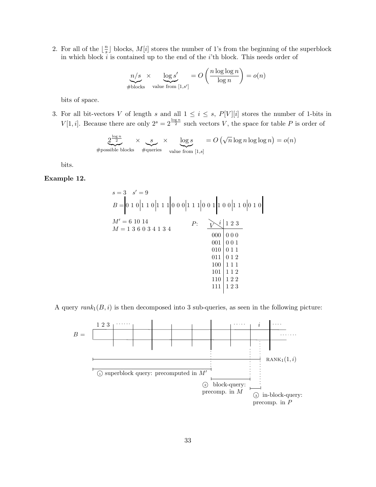2. For all of the  $\lfloor \frac{n}{s} \rfloor$  $\frac{n}{s}$  blocks,  $M[i]$  stores the number of 1's from the beginning of the superblock in which block  $i$  is contained up to the end of the  $i$ 'th block. This needs order of

$$
n/s \times \log s' \over \text{where } s' = O\left(\frac{n \log \log n}{\log n}\right) = o(n)
$$

bits of space.

3. For all bit-vectors V of length s and all  $1 \leq i \leq s$ ,  $P[V][i]$  stores the number of 1-bits in  $V[1, i]$ . Because there are only  $2^s = 2^{\frac{\log n}{2}}$  such vectors V, the space for table P is order of

$$
2^{\frac{\log n}{2}} \times \underbrace{s}_{\text{#queries}} \times \underbrace{\log s}_{\text{value from [1,s]}} = O\left(\sqrt{n}\log n \log \log n\right) = o(n)
$$

bits.

Example 12.

B = 0 1 0 1 1 0 1 1 1 0 0 0 1 1 1 0 0 1 1 0 0 1 1 0 0 1 0 M<sup>0</sup> = 6 10 14 M = 1 3 6 0 3 4 1 3 4 s = 3 s <sup>0</sup> = 9 000 0 0 0 001 0 0 1 010 0 1 1 011 0 1 2 100 1 1 1 101 1 1 2 110 1 2 2 111 1 2 3 1 2 3 <sup>V</sup> <sup>P</sup> <sup>i</sup> :

A query  $rank_1(B, i)$  is then decomposed into 3 sub-queries, as seen in the following picture:

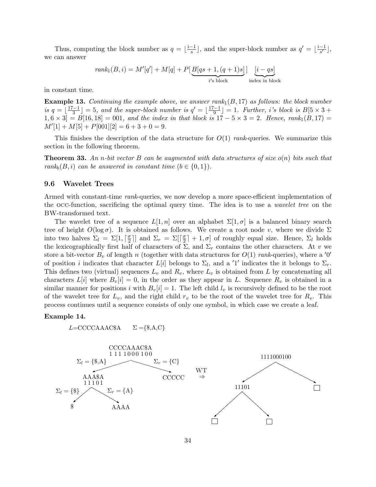Thus, computing the block number as  $q = \lfloor \frac{i-1}{s} \rfloor$  $\frac{-1}{s}$ , and the super-block number as  $q' = \lfloor \frac{i-1}{s'} \rfloor$  $\frac{-1}{s'}\rfloor,$ we can answer

$$
rank_1(B, i) = M'[q'] + M[q] + P[\underbrace{B[qs+1, (q+1)s]}_{i's \text{ block}}] \underbrace{[i - qs]}_{\text{index in block}}
$$

in constant time.

**Example 13.** Continuing the example above, we answer rank $_1(B, 17)$  as follows: the block number is  $q = \frac{17-1}{3}$  $\left[\frac{(-1)}{3}\right] = 5$ , and the super-block number is  $q' = \lfloor \frac{17-1}{9} \rfloor$  $\left[\frac{q-1}{9}\right] = 1$ . Further, i's block is  $B[5 \times 3] +$  $[1, 6 \times 3] = B[16, 18] = 001$ , and the index in that block is  $17 - 5 \times 3 = 2$ . Hence, rank<sub>1</sub> $(B, 17) =$  $M'[1] + M[5] + P[001][2] = 6 + 3 + 0 = 9.$ 

This finishes the description of the data structure for  $O(1)$  rank-queries. We summarize this section in the following theorem.

**Theorem 33.** An n-bit vector B can be augmented with data structures of size  $o(n)$  bits such that rank<sub>b</sub> $(B, i)$  can be answered in constant time  $(b \in \{0, 1\})$ .

#### 9.6 Wavelet Trees

Armed with constant-time rank-queries, we now develop a more space-efficient implementation of the occ-function, sacrificing the optimal query time. The idea is to use a wavelet tree on the BW-transformed text.

The wavelet tree of a sequence  $L[1,n]$  over an alphabet  $\Sigma[1,\sigma]$  is a balanced binary search tree of height  $O(\log \sigma)$ . It is obtained as follows. We create a root node v, where we divide  $\Sigma$ into two halves  $\Sigma_l = \Sigma[1, \lceil \frac{\sigma}{2} \rceil]$  $\left[\frac{\sigma}{2}\right]$  and  $\Sigma_r = \Sigma \left[\frac{\sigma}{2}\right]$  $\lfloor \frac{\sigma}{2} \rfloor + 1, \sigma$  of roughly equal size. Hence,  $\Sigma_l$  holds the lexicographically first half of characters of  $\Sigma$ , and  $\Sigma_r$  contains the other characters. At v we store a bit-vector  $B_v$  of length n (together with data structures for  $O(1)$  rank-queries), where a '0' of position *i* indicates that character  $L[i]$  belongs to  $\Sigma_l$ , and a '1' indicates the it belongs to  $\Sigma_r$ . This defines two (virtual) sequences  $L_v$  and  $R_v$ , where  $L_v$  is obtained from L by concatenating all characters  $L[i]$  where  $B_{\nu}[i] = 0$ , in the order as they appear in L. Sequence  $R_{\nu}$  is obtained in a similar manner for positions i with  $B_v[i] = 1$ . The left child  $l_v$  is recursively defined to be the root of the wavelet tree for  $L_v$ , and the right child  $r_v$  to be the root of the wavelet tree for  $R_v$ . This process continues until a sequence consists of only one symbol, in which case we create a leaf.

#### Example 14.

$$
L = \text{CCCCAAAC\$A} \qquad \Sigma = \{\$, A, C\}
$$

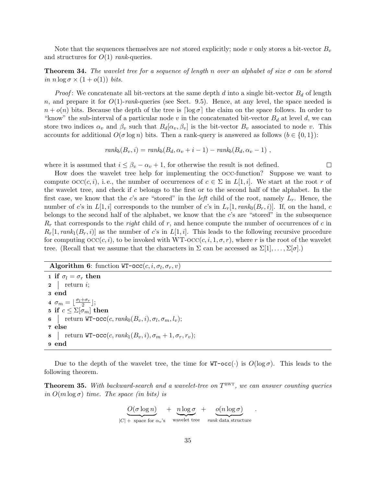Note that the sequences themselves are *not* stored explicitly; node v only stores a bit-vector  $B_v$ and structures for  $O(1)$  rank-queries.

**Theorem 34.** The wavelet tree for a sequence of length n over an alphabet of size  $\sigma$  can be stored in  $n \log \sigma \times (1 + o(1))$  bits.

*Proof*: We concatenate all bit-vectors at the same depth d into a single bit-vector  $B_d$  of length n, and prepare it for  $O(1)$ -rank-queries (see Sect. 9.5). Hence, at any level, the space needed is  $n + o(n)$  bits. Because the depth of the tree is  $\lceil \log \sigma \rceil$  the claim on the space follows. In order to "know" the sub-interval of a particular node v in the concatenated bit-vector  $B_d$  at level d, we can store two indices  $\alpha_v$  and  $\beta_v$  such that  $B_d[\alpha_v, \beta_v]$  is the bit-vector  $B_v$  associated to node v. This accounts for additional  $O(\sigma \log n)$  bits. Then a rank-query is answered as follows  $(b \in \{0,1\})$ :

$$
rank_b(B_v, i) = rank_b(B_d, \alpha_v + i - 1) - rank_b(B_d, \alpha_v - 1) ,
$$

where it is assumed that  $i \leq \beta_v - \alpha_v + 1$ , for otherwise the result is not defined.

How does the wavelet tree help for implementing the occ-function? Suppose we want to compute  $\mathrm{occ}(c, i)$ , i.e., the number of occurrences of  $c \in \Sigma$  in  $L[1, i]$ . We start at the root r of the wavelet tree, and check if c belongs to the first or to the second half of the alphabet. In the first case, we know that the c's are "stored" in the *left* child of the root, namely  $L_r$ . Hence, the number of c's in  $L[1, i]$  corresponds to the number of c's in  $L_r[1, rank_0(B_r, i)]$ . If, on the hand, c belongs to the second half of the alphabet, we know that the c's are "stored" in the subsequence  $R_r$  that corresponds to the *right* child of r, and hence compute the number of occurrences of c in  $R_r[1, rank_1(B_r, i)]$  as the number of c's in  $L[1, i]$ . This leads to the following recursive procedure for computing  $\mathrm{occ}(c, i)$ , to be invoked with WT- $\mathrm{occ}(c, i, 1, \sigma, r)$ , where r is the root of the wavelet tree. (Recall that we assume that the characters in  $\Sigma$  can be accessed as  $\Sigma[1], \ldots, \Sigma[\sigma]$ .)

# **Algorithm 6:** function  $WT{-}occ(c, i, \sigma_l, \sigma_r, v)$

1 if  $\sigma_l = \sigma_r$  then  $2 \mid \text{return } i;$ 3 end 4  $\sigma_m = \lfloor \frac{\sigma_l + \sigma_r}{2} \rfloor;$ 5 if  $c \leq \Sigma[\sigma_m]$  then **6**  $\vert$  return WT-occ(c, rank<sub>0</sub> $(B_v, i), \sigma_l, \sigma_m, l_v);$ 7 else 8 | return WT-occ $(c, rank_1(B_v, i), \sigma_m + 1, \sigma_r, r_v);$ 9 end

Due to the depth of the wavelet tree, the time for  $WT-occ(\cdot)$  is  $O(log \sigma)$ . This leads to the following theorem.

**Theorem 35.** With backward-search and a wavelet-tree on  $T^{\text{BWT}}$ , we can answer counting queries in  $O(m \log \sigma)$  time. The space (in bits) is

$$
\underbrace{O(\sigma \log n)}_{|C| + \text{ space for } \alpha_v\text{'s}} + \underbrace{n \log \sigma}_{\text{wavelet tree}} + \underbrace{o(n \log \sigma)}_{\text{rank data structure}}
$$

.

 $\Box$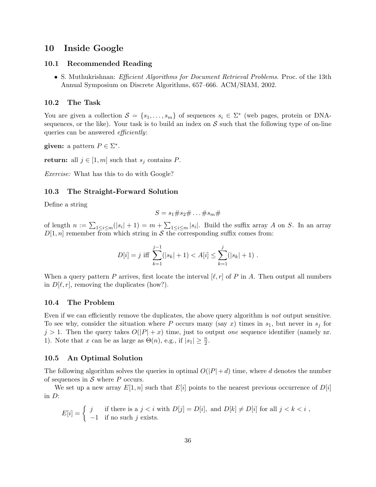### 10 Inside Google

### 10.1 Recommended Reading

• S. Muthukrishnan: *Efficient Algorithms for Document Retrieval Problems*. Proc. of the 13th Annual Symposium on Discrete Algorithms, 657–666. ACM/SIAM, 2002.

### 10.2 The Task

You are given a collection  $S = \{s_1, \ldots, s_m\}$  of sequences  $s_i \in \Sigma^*$  (web pages, protein or DNAsequences, or the like). Your task is to build an index on  $S$  such that the following type of on-line queries can be answered *efficiently*:

given: a pattern  $P \in \Sigma^*$ .

return: all  $j \in [1, m]$  such that  $s_j$  contains P.

Exercise: What has this to do with Google?

### 10.3 The Straight-Forward Solution

Define a string

$$
S=s_1\#s_2\#\dots\#s_m\#
$$

of length  $n := \sum_{1 \leq i \leq m} (|s_i| + 1) = m + \sum_{1 \leq i \leq m} |s_i|$ . Build the suffix array A on S. In an array  $D[1, n]$  remember from which string in S the corresponding suffix comes from:

$$
D[i] = j \text{ iff } \sum_{k=1}^{j-1} (|s_k| + 1) < A[i] \leq \sum_{k=1}^{j} (|s_k| + 1) \; .
$$

When a query pattern P arrives, first locate the interval  $[\ell, r]$  of P in A. Then output all numbers in  $D[\ell, r]$ , removing the duplicates (how?).

### 10.4 The Problem

Even if we can efficiently remove the duplicates, the above query algorithm is not output sensitive. To see why, consider the situation where P occurs many (say x) times in  $s_1$ , but never in  $s_j$  for  $j > 1$ . Then the query takes  $O(|P| + x)$  time, just to output *one* sequence identifier (namely nr. 1). Note that x can be as large as  $\Theta(n)$ , e.g., if  $|s_1| \geq \frac{n}{2}$ .

### 10.5 An Optimal Solution

The following algorithm solves the queries in optimal  $O(|P|+d)$  time, where d denotes the number of sequences in  $S$  where  $P$  occurs.

We set up a new array  $E[1, n]$  such that  $E[i]$  points to the nearest previous occurrence of  $D[i]$ in D:

$$
E[i] = \begin{cases} j & \text{if there is a } j < i \text{ with } D[j] = D[i], \text{ and } D[k] \neq D[i] \text{ for all } j < k < i \\ -1 & \text{if no such } j \text{ exists.} \end{cases}
$$